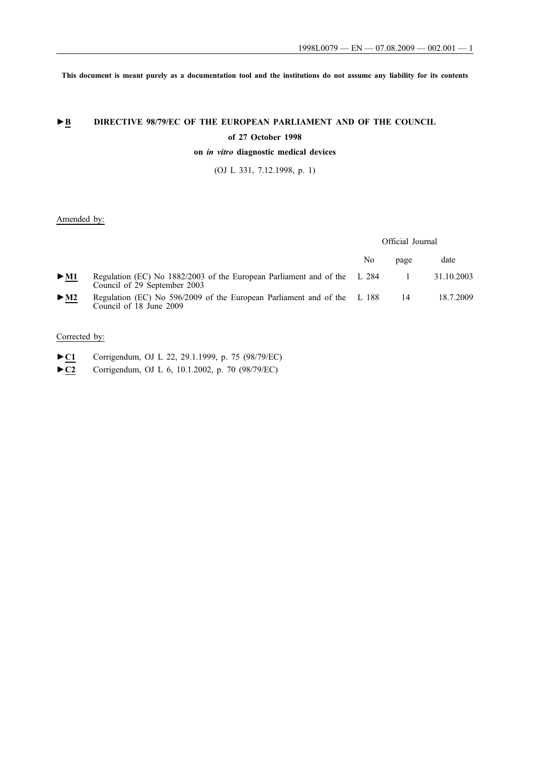**This document is meant purely as a documentation tool and the institutions do not assume any liability for its contents**

# ►**B** DIRECTIVE 98/79/EC OF THE EUROPEAN PARLIAMENT AND OF THE COUNCIL

**of 27 October 1998**

**on** *in vitro* **diagnostic medical devices**

(OJ L 331, 7.12.1998, p. 1)

# Amended by:

## Official Journal

|                     |                                                                                                          | No | page | date       |
|---------------------|----------------------------------------------------------------------------------------------------------|----|------|------------|
| $\triangleright$ M1 | Regulation (EC) No 1882/2003 of the European Parliament and of the L 284<br>Council of 29 September 2003 |    |      | 31.10.2003 |
| $>$ M2              | Regulation (EC) No 596/2009 of the European Parliament and of the L 188<br>Council of 18 June 2009       |    | 14   | 18.7.2009  |

## Corrected by:

- ►**C1** Corrigendum, OJ L 22, 29.1.1999, p. 75 (98/79/EC)
- ►**C2** Corrigendum, OJ L 6, 10.1.2002, p. 70 (98/79/EC)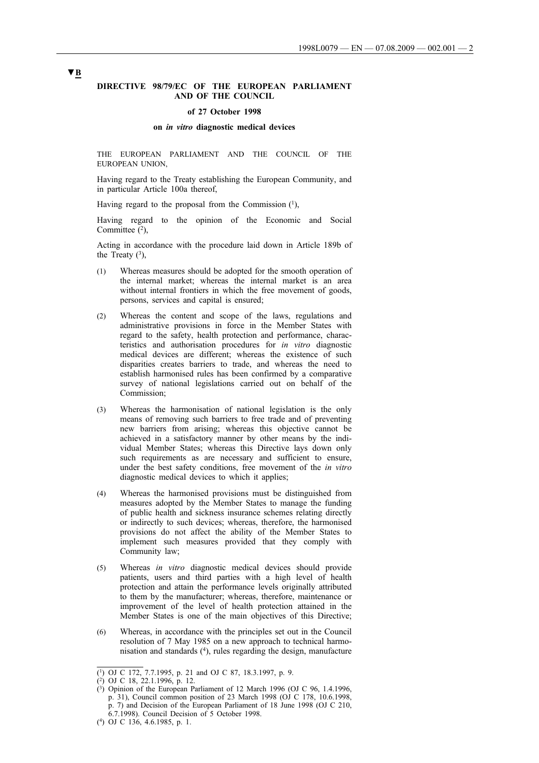### **DIRECTIVE 98/79/EC OF THE EUROPEAN PARLIAMENT AND OF THE COUNCIL**

#### **of 27 October 1998**

### **on** *in vitro* **diagnostic medical devices**

THE EUROPEAN PARLIAMENT AND THE COUNCIL OF THE EUROPEAN UNION,

Having regard to the Treaty establishing the European Community, and in particular Article 100a thereof,

Having regard to the proposal from the Commission  $(1)$ ,

Having regard to the opinion of the Economic and Social Committee  $(2)$ ,

Acting in accordance with the procedure laid down in Article 189b of the Treaty  $(3)$ ,

- (1) Whereas measures should be adopted for the smooth operation of the internal market; whereas the internal market is an area without internal frontiers in which the free movement of goods, persons, services and capital is ensured;
- (2) Whereas the content and scope of the laws, regulations and administrative provisions in force in the Member States with regard to the safety, health protection and performance, characteristics and authorisation procedures for *in vitro* diagnostic medical devices are different; whereas the existence of such disparities creates barriers to trade, and whereas the need to establish harmonised rules has been confirmed by a comparative survey of national legislations carried out on behalf of the Commission;
- (3) Whereas the harmonisation of national legislation is the only means of removing such barriers to free trade and of preventing new barriers from arising; whereas this objective cannot be achieved in a satisfactory manner by other means by the individual Member States; whereas this Directive lays down only such requirements as are necessary and sufficient to ensure, under the best safety conditions, free movement of the *in vitro* diagnostic medical devices to which it applies;
- (4) Whereas the harmonised provisions must be distinguished from measures adopted by the Member States to manage the funding of public health and sickness insurance schemes relating directly or indirectly to such devices; whereas, therefore, the harmonised provisions do not affect the ability of the Member States to implement such measures provided that they comply with Community law;
- (5) Whereas *in vitro* diagnostic medical devices should provide patients, users and third parties with a high level of health protection and attain the performance levels originally attributed to them by the manufacturer; whereas, therefore, maintenance or improvement of the level of health protection attained in the Member States is one of the main objectives of this Directive;
- (6) Whereas, in accordance with the principles set out in the Council resolution of 7 May 1985 on a new approach to technical harmonisation and standards  $(4)$ , rules regarding the design, manufacture

<sup>(1)</sup> OJ C 172, 7.7.1995, p. 21 and OJ C 87, 18.3.1997, p. 9.

<sup>(2)</sup> OJ C 18, 22.1.1996, p. 12.

 $(3)$  Opinion of the European Parliament of 12 March 1996 (OJ C 96, 1.4.1996, p. 31), Council common position of 23 March 1998 (OJ C 178, 10.6.1998, p. 7) and Decision of the European Parliament of 18 June 1998 (OJ C 210, 6.7.1998). Council Decision of 5 October 1998.

<sup>(4)</sup> OJ C 136, 4.6.1985, p. 1.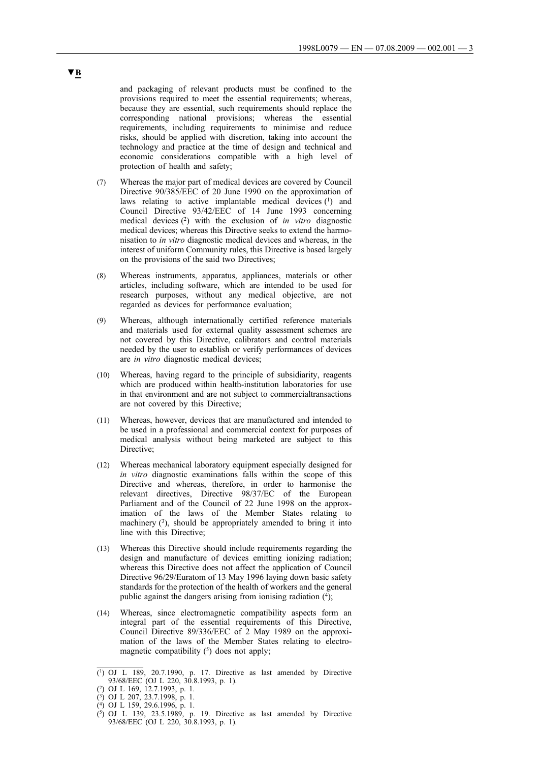and packaging of relevant products must be confined to the provisions required to meet the essential requirements; whereas, because they are essential, such requirements should replace the corresponding national provisions; whereas the essential requirements, including requirements to minimise and reduce risks, should be applied with discretion, taking into account the technology and practice at the time of design and technical and economic considerations compatible with a high level of protection of health and safety;

- (7) Whereas the major part of medical devices are covered by Council Directive 90/385/EEC of 20 June 1990 on the approximation of laws relating to active implantable medical devices  $(1)$  and Council Directive 93/42/EEC of 14 June 1993 concerning medical devices (2) with the exclusion of *in vitro* diagnostic medical devices; whereas this Directive seeks to extend the harmonisation to *in vitro* diagnostic medical devices and whereas, in the interest of uniform Community rules, this Directive is based largely on the provisions of the said two Directives;
- (8) Whereas instruments, apparatus, appliances, materials or other articles, including software, which are intended to be used for research purposes, without any medical objective, are not regarded as devices for performance evaluation;
- (9) Whereas, although internationally certified reference materials and materials used for external quality assessment schemes are not covered by this Directive, calibrators and control materials needed by the user to establish or verify performances of devices are *in vitro* diagnostic medical devices;
- (10) Whereas, having regard to the principle of subsidiarity, reagents which are produced within health-institution laboratories for use in that environment and are not subject to commercialtransactions are not covered by this Directive;
- (11) Whereas, however, devices that are manufactured and intended to be used in a professional and commercial context for purposes of medical analysis without being marketed are subject to this Directive;
- (12) Whereas mechanical laboratory equipment especially designed for *in vitro* diagnostic examinations falls within the scope of this Directive and whereas, therefore, in order to harmonise the relevant directives, Directive 98/37/EC of the European Parliament and of the Council of 22 June 1998 on the approximation of the laws of the Member States relating to machinery (3), should be appropriately amended to bring it into line with this Directive;
- (13) Whereas this Directive should include requirements regarding the design and manufacture of devices emitting ionizing radiation; whereas this Directive does not affect the application of Council Directive 96/29/Euratom of 13 May 1996 laying down basic safety standards for the protection of the health of workers and the general public against the dangers arising from ionising radiation (4);
- (14) Whereas, since electromagnetic compatibility aspects form an integral part of the essential requirements of this Directive, Council Directive 89/336/EEC of 2 May 1989 on the approximation of the laws of the Member States relating to electromagnetic compatibility  $(5)$  does not apply;

<sup>(1)</sup> OJ L 189, 20.7.1990, p. 17. Directive as last amended by Directive 93/68/EEC (OJ L 220, 30.8.1993, p. 1).

<sup>(2)</sup> OJ L 169, 12.7.1993, p. 1.

<sup>(3)</sup> OJ L 207, 23.7.1998, p. 1.

<sup>(4)</sup> OJ L 159, 29.6.1996, p. 1.

 $(5)$  OJ L 139, 23.5.1989, p. 19. Directive as last amended by Directive 93/68/EEC (OJ L 220, 30.8.1993, p. 1).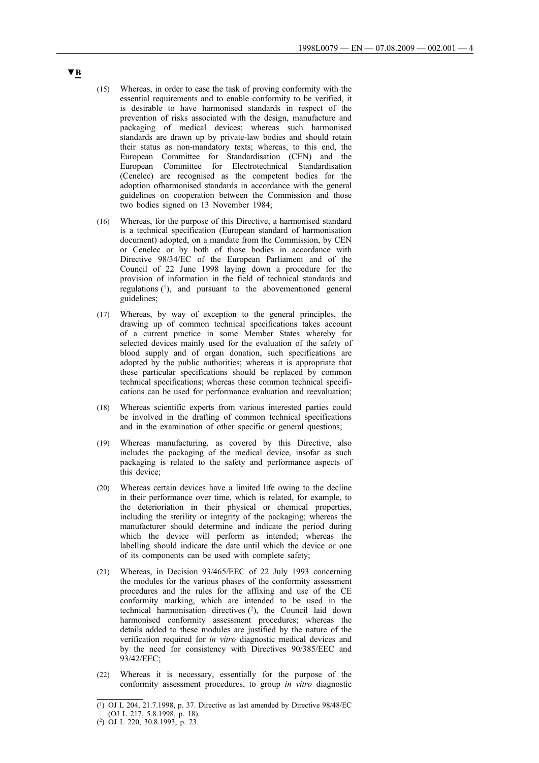- (15) Whereas, in order to ease the task of proving conformity with the essential requirements and to enable conformity to be verified, it is desirable to have harmonised standards in respect of the prevention of risks associated with the design, manufacture and packaging of medical devices; whereas such harmonised standards are drawn up by private-law bodies and should retain their status as non-mandatory texts; whereas, to this end, the European Committee for Standardisation (CEN) and the European Committee for Electrotechnical Standardisation (Cenelec) are recognised as the competent bodies for the adoption ofharmonised standards in accordance with the general guidelines on cooperation between the Commission and those two bodies signed on 13 November 1984;
- (16) Whereas, for the purpose of this Directive, a harmonised standard is a technical specification (European standard of harmonisation document) adopted, on a mandate from the Commission, by CEN or Cenelec or by both of those bodies in accordance with Directive 98/34/EC of the European Parliament and of the Council of 22 June 1998 laying down a procedure for the provision of information in the field of technical standards and regulations  $(1)$ , and pursuant to the abovementioned general guidelines;
- (17) Whereas, by way of exception to the general principles, the drawing up of common technical specifications takes account of a current practice in some Member States whereby for selected devices mainly used for the evaluation of the safety of blood supply and of organ donation, such specifications are adopted by the public authorities; whereas it is appropriate that these particular specifications should be replaced by common technical specifications; whereas these common technical specifications can be used for performance evaluation and reevaluation;
- (18) Whereas scientific experts from various interested parties could be involved in the drafting of common technical specifications and in the examination of other specific or general questions;
- (19) Whereas manufacturing, as covered by this Directive, also includes the packaging of the medical device, insofar as such packaging is related to the safety and performance aspects of this device;
- (20) Whereas certain devices have a limited life owing to the decline in their performance over time, which is related, for example, to the deterioriation in their physical or chemical properties, including the sterility or integrity of the packaging; whereas the manufacturer should determine and indicate the period during which the device will perform as intended; whereas the labelling should indicate the date until which the device or one of its components can be used with complete safety;
- (21) Whereas, in Decision 93/465/EEC of 22 July 1993 concerning the modules for the various phases of the conformity assessment procedures and the rules for the affixing and use of the CE conformity marking, which are intended to be used in the technical harmonisation directives  $(2)$ , the Council laid down harmonised conformity assessment procedures; whereas the details added to these modules are justified by the nature of the verification required for *in vitro* diagnostic medical devices and by the need for consistency with Directives 90/385/EEC and 93/42/EEC;
- (22) Whereas it is necessary, essentially for the purpose of the conformity assessment procedures, to group *in vitro* diagnostic

<sup>(1)</sup> OJ L 204, 21.7.1998, p. 37. Directive as last amended by Directive 98/48/EC (OJ L 217, 5.8.1998, p. 18).

<sup>(2)</sup> OJ L 220, 30.8.1993, p. 23.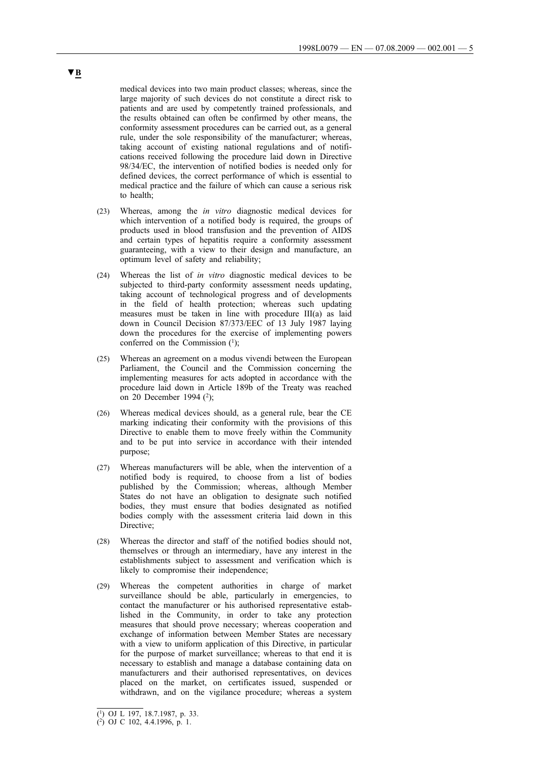medical devices into two main product classes; whereas, since the large majority of such devices do not constitute a direct risk to patients and are used by competently trained professionals, and the results obtained can often be confirmed by other means, the conformity assessment procedures can be carried out, as a general rule, under the sole responsibility of the manufacturer; whereas, taking account of existing national regulations and of notifications received following the procedure laid down in Directive 98/34/EC, the intervention of notified bodies is needed only for defined devices, the correct performance of which is essential to medical practice and the failure of which can cause a serious risk to health;

- (23) Whereas, among the *in vitro* diagnostic medical devices for which intervention of a notified body is required, the groups of products used in blood transfusion and the prevention of AIDS and certain types of hepatitis require a conformity assessment guaranteeing, with a view to their design and manufacture, an optimum level of safety and reliability;
- (24) Whereas the list of *in vitro* diagnostic medical devices to be subjected to third-party conformity assessment needs updating. taking account of technological progress and of developments in the field of health protection; whereas such updating measures must be taken in line with procedure III(a) as laid down in Council Decision 87/373/EEC of 13 July 1987 laying down the procedures for the exercise of implementing powers conferred on the Commission  $(1)$ ;
- (25) Whereas an agreement on a modus vivendi between the European Parliament, the Council and the Commission concerning the implementing measures for acts adopted in accordance with the procedure laid down in Article 189b of the Treaty was reached on 20 December 1994 (2);
- (26) Whereas medical devices should, as a general rule, bear the CE marking indicating their conformity with the provisions of this Directive to enable them to move freely within the Community and to be put into service in accordance with their intended purpose;
- (27) Whereas manufacturers will be able, when the intervention of a notified body is required, to choose from a list of bodies published by the Commission; whereas, although Member States do not have an obligation to designate such notified bodies, they must ensure that bodies designated as notified bodies comply with the assessment criteria laid down in this Directive;
- (28) Whereas the director and staff of the notified bodies should not, themselves or through an intermediary, have any interest in the establishments subject to assessment and verification which is likely to compromise their independence;
- (29) Whereas the competent authorities in charge of market surveillance should be able, particularly in emergencies, to contact the manufacturer or his authorised representative established in the Community, in order to take any protection measures that should prove necessary; whereas cooperation and exchange of information between Member States are necessary with a view to uniform application of this Directive, in particular for the purpose of market surveillance; whereas to that end it is necessary to establish and manage a database containing data on manufacturers and their authorised representatives, on devices placed on the market, on certificates issued, suspended or withdrawn, and on the vigilance procedure; whereas a system

<sup>(1)</sup> OJ L 197, 18.7.1987, p. 33.

<sup>(2)</sup> OJ C 102, 4.4.1996, p. 1.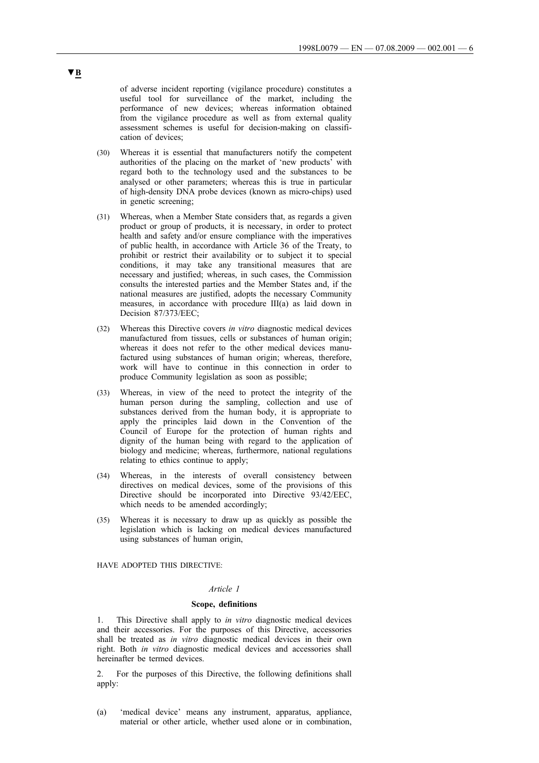of adverse incident reporting (vigilance procedure) constitutes a useful tool for surveillance of the market, including the performance of new devices; whereas information obtained from the vigilance procedure as well as from external quality assessment schemes is useful for decision-making on classification of devices;

- (30) Whereas it is essential that manufacturers notify the competent authorities of the placing on the market of 'new products' with regard both to the technology used and the substances to be analysed or other parameters; whereas this is true in particular of high-density DNA probe devices (known as micro-chips) used in genetic screening;
- (31) Whereas, when a Member State considers that, as regards a given product or group of products, it is necessary, in order to protect health and safety and/or ensure compliance with the imperatives of public health, in accordance with Article 36 of the Treaty, to prohibit or restrict their availability or to subject it to special conditions, it may take any transitional measures that are necessary and justified; whereas, in such cases, the Commission consults the interested parties and the Member States and, if the national measures are justified, adopts the necessary Community measures, in accordance with procedure III(a) as laid down in Decision 87/373/EEC;
- (32) Whereas this Directive covers *in vitro* diagnostic medical devices manufactured from tissues, cells or substances of human origin; whereas it does not refer to the other medical devices manufactured using substances of human origin; whereas, therefore, work will have to continue in this connection in order to produce Community legislation as soon as possible;
- (33) Whereas, in view of the need to protect the integrity of the human person during the sampling, collection and use of substances derived from the human body, it is appropriate to apply the principles laid down in the Convention of the Council of Europe for the protection of human rights and dignity of the human being with regard to the application of biology and medicine; whereas, furthermore, national regulations relating to ethics continue to apply;
- (34) Whereas, in the interests of overall consistency between directives on medical devices, some of the provisions of this Directive should be incorporated into Directive 93/42/EEC, which needs to be amended accordingly;
- (35) Whereas it is necessary to draw up as quickly as possible the legislation which is lacking on medical devices manufactured using substances of human origin,

HAVE ADOPTED THIS DIRECTIVE:

## *Article 1*

#### **Scope, definitions**

1. This Directive shall apply to *in vitro* diagnostic medical devices and their accessories. For the purposes of this Directive, accessories shall be treated as *in vitro* diagnostic medical devices in their own right. Both *in vitro* diagnostic medical devices and accessories shall hereinafter be termed devices.

2. For the purposes of this Directive, the following definitions shall apply:

(a) 'medical device' means any instrument, apparatus, appliance, material or other article, whether used alone or in combination,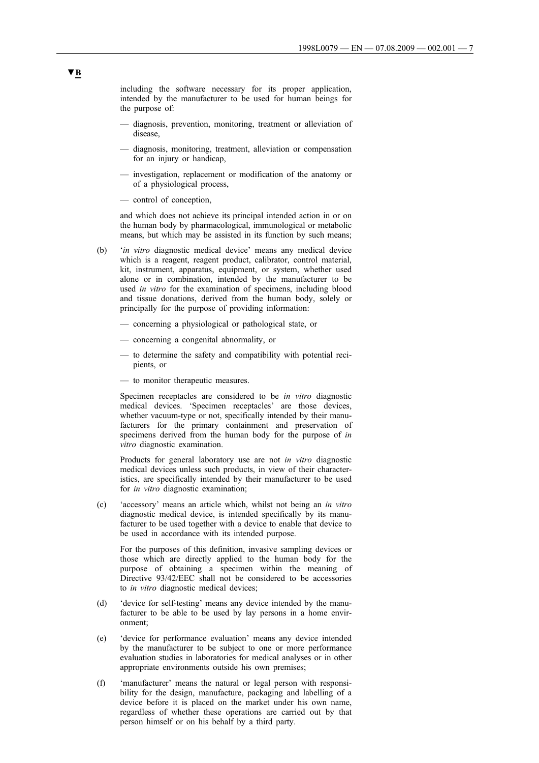including the software necessary for its proper application, intended by the manufacturer to be used for human beings for the purpose of:

- diagnosis, prevention, monitoring, treatment or alleviation of disease,
- diagnosis, monitoring, treatment, alleviation or compensation for an injury or handicap,
- investigation, replacement or modification of the anatomy or of a physiological process,
- control of conception,

and which does not achieve its principal intended action in or on the human body by pharmacological, immunological or metabolic means, but which may be assisted in its function by such means;

- (b) '*in vitro* diagnostic medical device' means any medical device which is a reagent, reagent product, calibrator, control material, kit, instrument, apparatus, equipment, or system, whether used alone or in combination, intended by the manufacturer to be used *in vitro* for the examination of specimens, including blood and tissue donations, derived from the human body, solely or principally for the purpose of providing information:
	- concerning a physiological or pathological state, or
	- concerning a congenital abnormality, or
	- to determine the safety and compatibility with potential recipients, or
	- to monitor therapeutic measures.

Specimen receptacles are considered to be *in vitro* diagnostic medical devices. 'Specimen receptacles' are those devices, whether vacuum-type or not, specifically intended by their manufacturers for the primary containment and preservation of specimens derived from the human body for the purpose of *in vitro* diagnostic examination.

Products for general laboratory use are not *in vitro* diagnostic medical devices unless such products, in view of their characteristics, are specifically intended by their manufacturer to be used for *in vitro* diagnostic examination;

(c) 'accessory' means an article which, whilst not being an *in vitro* diagnostic medical device, is intended specifically by its manufacturer to be used together with a device to enable that device to be used in accordance with its intended purpose.

For the purposes of this definition, invasive sampling devices or those which are directly applied to the human body for the purpose of obtaining a specimen within the meaning of Directive 93/42/EEC shall not be considered to be accessories to *in vitro* diagnostic medical devices;

- (d) 'device for self-testing' means any device intended by the manufacturer to be able to be used by lay persons in a home environment;
- (e) 'device for performance evaluation' means any device intended by the manufacturer to be subject to one or more performance evaluation studies in laboratories for medical analyses or in other appropriate environments outside his own premises;
- (f) 'manufacturer' means the natural or legal person with responsibility for the design, manufacture, packaging and labelling of a device before it is placed on the market under his own name, regardless of whether these operations are carried out by that person himself or on his behalf by a third party.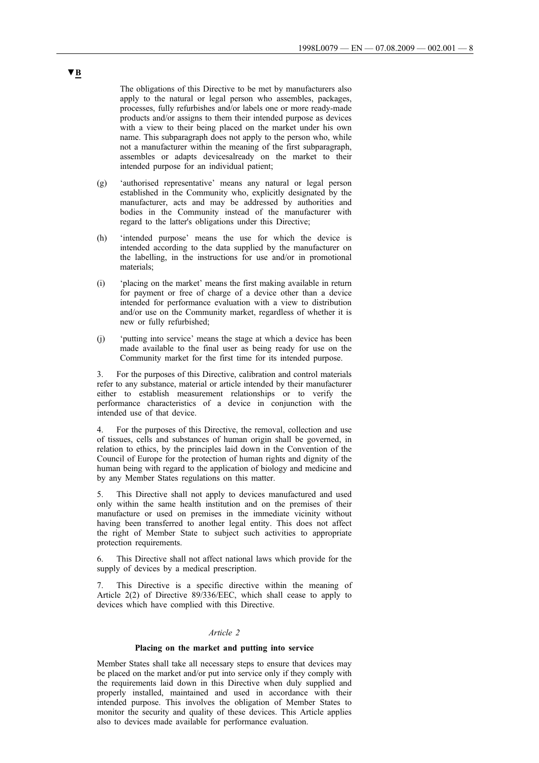The obligations of this Directive to be met by manufacturers also apply to the natural or legal person who assembles, packages, processes, fully refurbishes and/or labels one or more ready-made products and/or assigns to them their intended purpose as devices with a view to their being placed on the market under his own name. This subparagraph does not apply to the person who, while not a manufacturer within the meaning of the first subparagraph, assembles or adapts devicesalready on the market to their intended purpose for an individual patient;

- (g) 'authorised representative' means any natural or legal person established in the Community who, explicitly designated by the manufacturer, acts and may be addressed by authorities and bodies in the Community instead of the manufacturer with regard to the latter's obligations under this Directive;
- (h) 'intended purpose' means the use for which the device is intended according to the data supplied by the manufacturer on the labelling, in the instructions for use and/or in promotional materials;
- (i) 'placing on the market' means the first making available in return for payment or free of charge of a device other than a device intended for performance evaluation with a view to distribution and/or use on the Community market, regardless of whether it is new or fully refurbished;
- (j) 'putting into service' means the stage at which a device has been made available to the final user as being ready for use on the Community market for the first time for its intended purpose.

3. For the purposes of this Directive, calibration and control materials refer to any substance, material or article intended by their manufacturer either to establish measurement relationships or to verify the performance characteristics of a device in conjunction with the intended use of that device.

4. For the purposes of this Directive, the removal, collection and use of tissues, cells and substances of human origin shall be governed, in relation to ethics, by the principles laid down in the Convention of the Council of Europe for the protection of human rights and dignity of the human being with regard to the application of biology and medicine and by any Member States regulations on this matter.

5. This Directive shall not apply to devices manufactured and used only within the same health institution and on the premises of their manufacture or used on premises in the immediate vicinity without having been transferred to another legal entity. This does not affect the right of Member State to subject such activities to appropriate protection requirements.

6. This Directive shall not affect national laws which provide for the supply of devices by a medical prescription.

7. This Directive is a specific directive within the meaning of Article 2(2) of Directive 89/336/EEC, which shall cease to apply to devices which have complied with this Directive.

### *Article 2*

#### **Placing on the market and putting into service**

Member States shall take all necessary steps to ensure that devices may be placed on the market and/or put into service only if they comply with the requirements laid down in this Directive when duly supplied and properly installed, maintained and used in accordance with their intended purpose. This involves the obligation of Member States to monitor the security and quality of these devices. This Article applies also to devices made available for performance evaluation.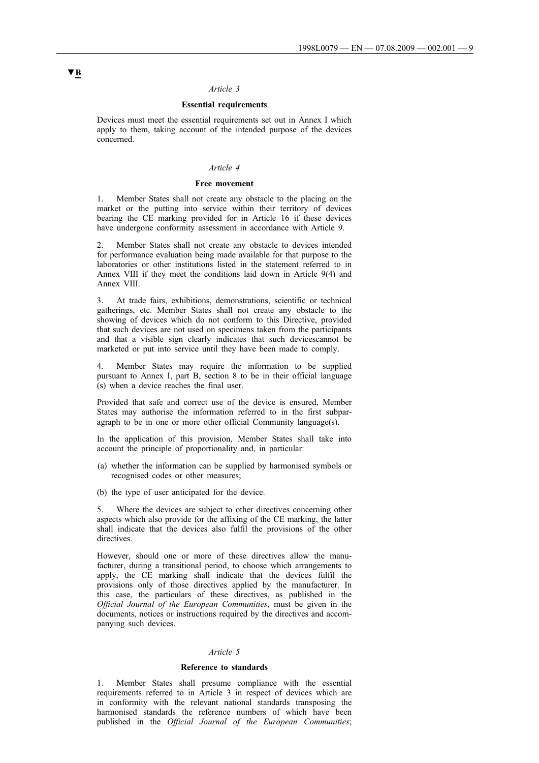### *Article 3*

## **Essential requirements**

Devices must meet the essential requirements set out in Annex I which apply to them, taking account of the intended purpose of the devices concerned.

### *Article 4*

### **Free movement**

1. Member States shall not create any obstacle to the placing on the market or the putting into service within their territory of devices bearing the CE marking provided for in Article 16 if these devices have undergone conformity assessment in accordance with Article 9.

2. Member States shall not create any obstacle to devices intended for performance evaluation being made available for that purpose to the laboratories or other institutions listed in the statement referred to in Annex VIII if they meet the conditions laid down in Article 9(4) and Annex VIII.

3. At trade fairs, exhibitions, demonstrations, scientific or technical gatherings, etc. Member States shall not create any obstacle to the showing of devices which do not conform to this Directive, provided that such devices are not used on specimens taken from the participants and that a visible sign clearly indicates that such devicescannot be marketed or put into service until they have been made to comply.

Member States may require the information to be supplied pursuant to Annex I, part B, section 8 to be in their official language (s) when a device reaches the final user.

Provided that safe and correct use of the device is ensured, Member States may authorise the information referred to in the first subparagraph to be in one or more other official Community language(s).

In the application of this provision, Member States shall take into account the principle of proportionality and, in particular:

- (a) whether the information can be supplied by harmonised symbols or recognised codes or other measures;
- (b) the type of user anticipated for the device.

5. Where the devices are subject to other directives concerning other aspects which also provide for the affixing of the CE marking, the latter shall indicate that the devices also fulfil the provisions of the other directives.

However, should one or more of these directives allow the manufacturer, during a transitional period, to choose which arrangements to apply, the CE marking shall indicate that the devices fulfil the provisions only of those directives applied by the manufacturer. In this case, the particulars of these directives, as published in the *Official Journal of the European Communities*, must be given in the documents, notices or instructions required by the directives and accompanying such devices.

### *Article 5*

### **Reference to standards**

1. Member States shall presume compliance with the essential requirements referred to in Article 3 in respect of devices which are in conformity with the relevant national standards transposing the harmonised standards the reference numbers of which have been published in the *Official Journal of the European Communities*;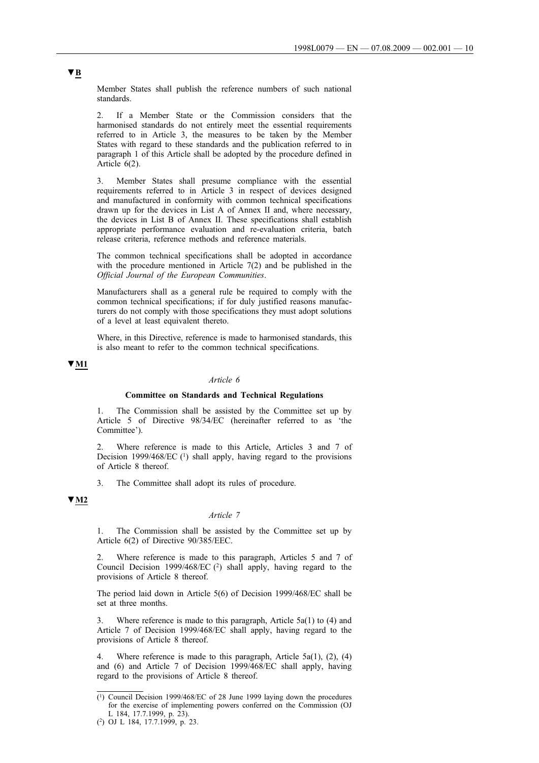Member States shall publish the reference numbers of such national standards.

2. If a Member State or the Commission considers that the harmonised standards do not entirely meet the essential requirements referred to in Article 3, the measures to be taken by the Member States with regard to these standards and the publication referred to in paragraph 1 of this Article shall be adopted by the procedure defined in Article  $6(2)$ .

3. Member States shall presume compliance with the essential requirements referred to in Article 3 in respect of devices designed and manufactured in conformity with common technical specifications drawn up for the devices in List A of Annex II and, where necessary, the devices in List B of Annex II. These specifications shall establish appropriate performance evaluation and re-evaluation criteria, batch release criteria, reference methods and reference materials.

The common technical specifications shall be adopted in accordance with the procedure mentioned in Article 7(2) and be published in the *Official Journal of the European Communities*.

Manufacturers shall as a general rule be required to comply with the common technical specifications; if for duly justified reasons manufacturers do not comply with those specifications they must adopt solutions of a level at least equivalent thereto.

Where, in this Directive, reference is made to harmonised standards, this is also meant to refer to the common technical specifications.

# **▼M1**

#### *Article 6*

### **Committee on Standards and Technical Regulations**

The Commission shall be assisted by the Committee set up by Article 5 of Directive 98/34/EC (hereinafter referred to as 'the Committee').

2. Where reference is made to this Article, Articles 3 and 7 of Decision 1999/468/EC  $(1)$  shall apply, having regard to the provisions of Article 8 thereof.

3. The Committee shall adopt its rules of procedure.

# **▼M2**

### *Article 7*

1. The Commission shall be assisted by the Committee set up by Article 6(2) of Directive 90/385/EEC.

2. Where reference is made to this paragraph, Articles 5 and 7 of Council Decision 1999/468/EC (2) shall apply, having regard to the provisions of Article 8 thereof.

The period laid down in Article 5(6) of Decision 1999/468/EC shall be set at three months.

Where reference is made to this paragraph, Article  $5a(1)$  to (4) and Article 7 of Decision 1999/468/EC shall apply, having regard to the provisions of Article 8 thereof.

4. Where reference is made to this paragraph, Article 5a(1), (2), (4) and (6) and Article 7 of Decision 1999/468/EC shall apply, having regard to the provisions of Article 8 thereof.

<sup>(1)</sup> Council Decision 1999/468/EC of 28 June 1999 laying down the procedures for the exercise of implementing powers conferred on the Commission (OJ L 184, 17.7.1999, p. 23).

<sup>(2)</sup> OJ L 184, 17.7.1999, p. 23.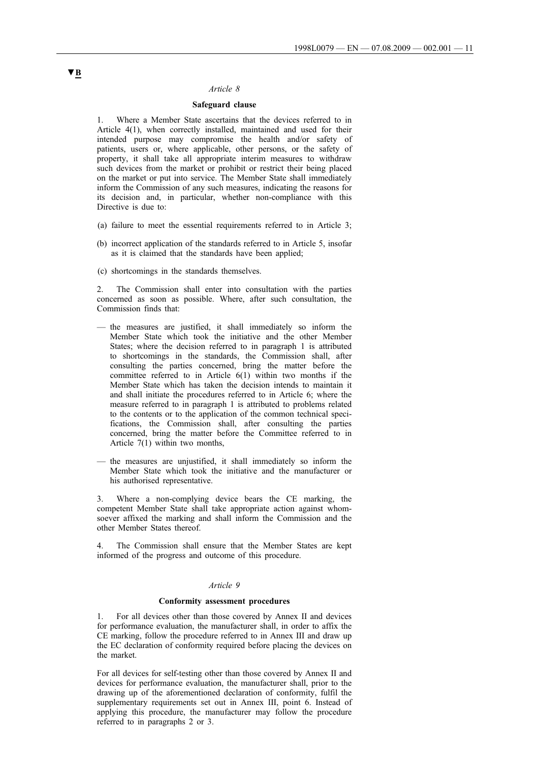### *Article 8*

## **Safeguard clause**

1. Where a Member State ascertains that the devices referred to in Article 4(1), when correctly installed, maintained and used for their intended purpose may compromise the health and/or safety of patients, users or, where applicable, other persons, or the safety of property, it shall take all appropriate interim measures to withdraw such devices from the market or prohibit or restrict their being placed on the market or put into service. The Member State shall immediately inform the Commission of any such measures, indicating the reasons for its decision and, in particular, whether non-compliance with this Directive is due to:

- (a) failure to meet the essential requirements referred to in Article 3;
- (b) incorrect application of the standards referred to in Article 5, insofar as it is claimed that the standards have been applied;
- (c) shortcomings in the standards themselves.

The Commission shall enter into consultation with the parties concerned as soon as possible. Where, after such consultation, the Commission finds that:

- the measures are justified, it shall immediately so inform the Member State which took the initiative and the other Member States; where the decision referred to in paragraph 1 is attributed to shortcomings in the standards, the Commission shall, after consulting the parties concerned, bring the matter before the committee referred to in Article 6(1) within two months if the Member State which has taken the decision intends to maintain it and shall initiate the procedures referred to in Article 6; where the measure referred to in paragraph 1 is attributed to problems related to the contents or to the application of the common technical specifications, the Commission shall, after consulting the parties concerned, bring the matter before the Committee referred to in Article 7(1) within two months,
- the measures are unjustified, it shall immediately so inform the Member State which took the initiative and the manufacturer or his authorised representative.

3. Where a non-complying device bears the CE marking, the competent Member State shall take appropriate action against whomsoever affixed the marking and shall inform the Commission and the other Member States thereof.

4. The Commission shall ensure that the Member States are kept informed of the progress and outcome of this procedure.

#### *Article 9*

### **Conformity assessment procedures**

1. For all devices other than those covered by Annex II and devices for performance evaluation, the manufacturer shall, in order to affix the CE marking, follow the procedure referred to in Annex III and draw up the EC declaration of conformity required before placing the devices on the market.

For all devices for self-testing other than those covered by Annex II and devices for performance evaluation, the manufacturer shall, prior to the drawing up of the aforementioned declaration of conformity, fulfil the supplementary requirements set out in Annex III, point 6. Instead of applying this procedure, the manufacturer may follow the procedure referred to in paragraphs 2 or 3.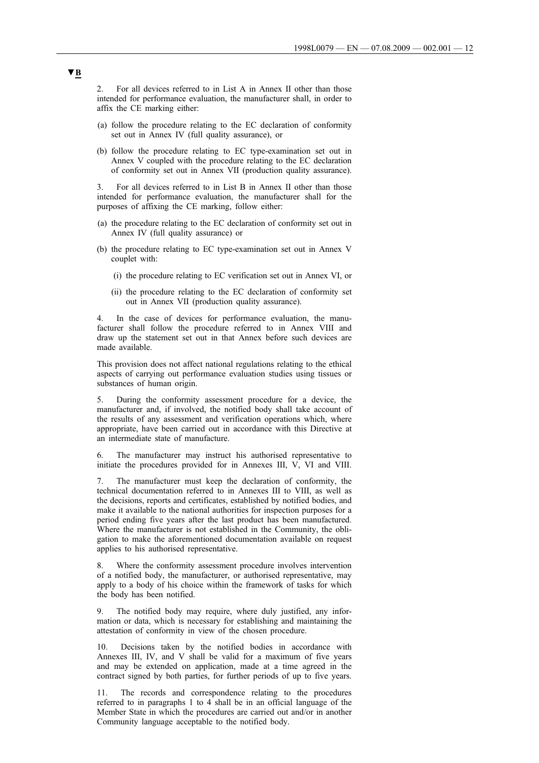2. For all devices referred to in List A in Annex II other than those intended for performance evaluation, the manufacturer shall, in order to affix the CE marking either:

- (a) follow the procedure relating to the EC declaration of conformity set out in Annex IV (full quality assurance), or
- (b) follow the procedure relating to EC type-examination set out in Annex V coupled with the procedure relating to the EC declaration of conformity set out in Annex VII (production quality assurance).

3. For all devices referred to in List B in Annex II other than those intended for performance evaluation, the manufacturer shall for the purposes of affixing the CE marking, follow either:

- (a) the procedure relating to the EC declaration of conformity set out in Annex IV (full quality assurance) or
- (b) the procedure relating to EC type-examination set out in Annex V couplet with:
	- (i) the procedure relating to EC verification set out in Annex VI, or
	- (ii) the procedure relating to the EC declaration of conformity set out in Annex VII (production quality assurance).

4. In the case of devices for performance evaluation, the manufacturer shall follow the procedure referred to in Annex VIII and draw up the statement set out in that Annex before such devices are made available.

This provision does not affect national regulations relating to the ethical aspects of carrying out performance evaluation studies using tissues or substances of human origin.

5. During the conformity assessment procedure for a device, the manufacturer and, if involved, the notified body shall take account of the results of any assessment and verification operations which, where appropriate, have been carried out in accordance with this Directive at an intermediate state of manufacture.

6. The manufacturer may instruct his authorised representative to initiate the procedures provided for in Annexes III, V, VI and VIII.

7. The manufacturer must keep the declaration of conformity, the technical documentation referred to in Annexes III to VIII, as well as the decisions, reports and certificates, established by notified bodies, and make it available to the national authorities for inspection purposes for a period ending five years after the last product has been manufactured. Where the manufacturer is not established in the Community, the obligation to make the aforementioned documentation available on request applies to his authorised representative.

8. Where the conformity assessment procedure involves intervention of a notified body, the manufacturer, or authorised representative, may apply to a body of his choice within the framework of tasks for which the body has been notified.

9. The notified body may require, where duly justified, any information or data, which is necessary for establishing and maintaining the attestation of conformity in view of the chosen procedure.

10. Decisions taken by the notified bodies in accordance with Annexes III, IV, and V shall be valid for a maximum of five years and may be extended on application, made at a time agreed in the contract signed by both parties, for further periods of up to five years.

11. The records and correspondence relating to the procedures referred to in paragraphs 1 to 4 shall be in an official language of the Member State in which the procedures are carried out and/or in another Community language acceptable to the notified body.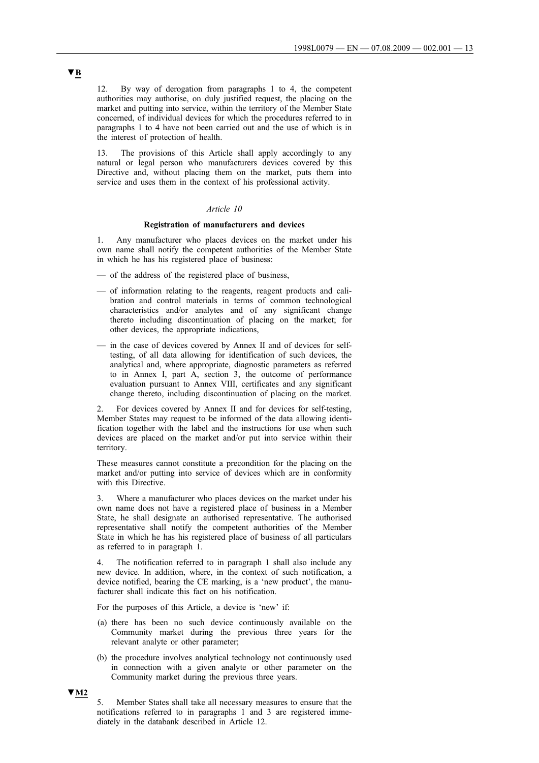12. By way of derogation from paragraphs 1 to 4, the competent authorities may authorise, on duly justified request, the placing on the market and putting into service, within the territory of the Member State concerned, of individual devices for which the procedures referred to in paragraphs 1 to 4 have not been carried out and the use of which is in the interest of protection of health.

13. The provisions of this Article shall apply accordingly to any natural or legal person who manufacturers devices covered by this Directive and, without placing them on the market, puts them into service and uses them in the context of his professional activity.

### *Article 10*

### **Registration of manufacturers and devices**

1. Any manufacturer who places devices on the market under his own name shall notify the competent authorities of the Member State in which he has his registered place of business:

- of the address of the registered place of business,
- of information relating to the reagents, reagent products and calibration and control materials in terms of common technological characteristics and/or analytes and of any significant change thereto including discontinuation of placing on the market; for other devices, the appropriate indications,
- in the case of devices covered by Annex II and of devices for selftesting, of all data allowing for identification of such devices, the analytical and, where appropriate, diagnostic parameters as referred to in Annex I, part A, section 3, the outcome of performance evaluation pursuant to Annex VIII, certificates and any significant change thereto, including discontinuation of placing on the market.

2. For devices covered by Annex II and for devices for self-testing, Member States may request to be informed of the data allowing identification together with the label and the instructions for use when such devices are placed on the market and/or put into service within their territory.

These measures cannot constitute a precondition for the placing on the market and/or putting into service of devices which are in conformity with this Directive.

3. Where a manufacturer who places devices on the market under his own name does not have a registered place of business in a Member State, he shall designate an authorised representative. The authorised representative shall notify the competent authorities of the Member State in which he has his registered place of business of all particulars as referred to in paragraph 1.

The notification referred to in paragraph 1 shall also include any new device. In addition, where, in the context of such notification, a device notified, bearing the CE marking, is a 'new product', the manufacturer shall indicate this fact on his notification.

For the purposes of this Article, a device is 'new' if:

- (a) there has been no such device continuously available on the Community market during the previous three years for the relevant analyte or other parameter;
- (b) the procedure involves analytical technology not continuously used in connection with a given analyte or other parameter on the Community market during the previous three years.

5. Member States shall take all necessary measures to ensure that the notifications referred to in paragraphs 1 and 3 are registered immediately in the databank described in Article 12.

# **▼B**

**▼M2**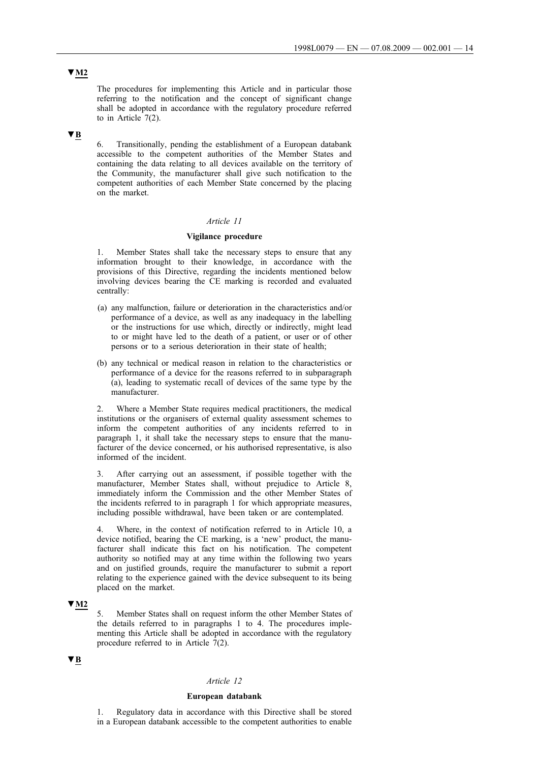The procedures for implementing this Article and in particular those referring to the notification and the concept of significant change shall be adopted in accordance with the regulatory procedure referred to in Article 7(2).

# **▼B**

6. Transitionally, pending the establishment of a European databank accessible to the competent authorities of the Member States and containing the data relating to all devices available on the territory of the Community, the manufacturer shall give such notification to the competent authorities of each Member State concerned by the placing on the market.

### *Article 11*

## **Vigilance procedure**

1. Member States shall take the necessary steps to ensure that any information brought to their knowledge, in accordance with the provisions of this Directive, regarding the incidents mentioned below involving devices bearing the CE marking is recorded and evaluated centrally:

- (a) any malfunction, failure or deterioration in the characteristics and/or performance of a device, as well as any inadequacy in the labelling or the instructions for use which, directly or indirectly, might lead to or might have led to the death of a patient, or user or of other persons or to a serious deterioration in their state of health;
- (b) any technical or medical reason in relation to the characteristics or performance of a device for the reasons referred to in subparagraph (a), leading to systematic recall of devices of the same type by the manufacturer.

2. Where a Member State requires medical practitioners, the medical institutions or the organisers of external quality assessment schemes to inform the competent authorities of any incidents referred to in paragraph 1, it shall take the necessary steps to ensure that the manufacturer of the device concerned, or his authorised representative, is also informed of the incident.

3. After carrying out an assessment, if possible together with the manufacturer, Member States shall, without prejudice to Article 8, immediately inform the Commission and the other Member States of the incidents referred to in paragraph 1 for which appropriate measures, including possible withdrawal, have been taken or are contemplated.

4. Where, in the context of notification referred to in Article 10, a device notified, bearing the CE marking, is a 'new' product, the manufacturer shall indicate this fact on his notification. The competent authority so notified may at any time within the following two years and on justified grounds, require the manufacturer to submit a report relating to the experience gained with the device subsequent to its being placed on the market.

### **▼M2**

5. Member States shall on request inform the other Member States of the details referred to in paragraphs 1 to 4. The procedures implementing this Article shall be adopted in accordance with the regulatory procedure referred to in Article 7(2).

# **▼B**

### *Article 12*

#### **European databank**

1. Regulatory data in accordance with this Directive shall be stored in a European databank accessible to the competent authorities to enable

# **▼M2**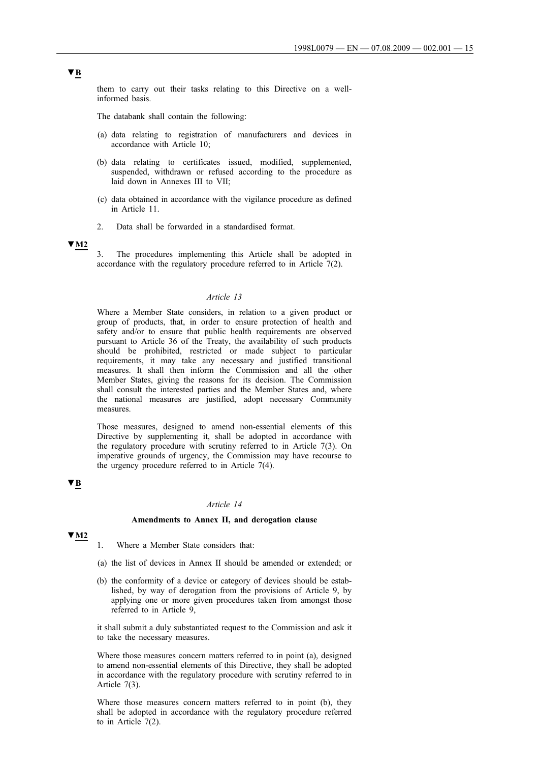them to carry out their tasks relating to this Directive on a wellinformed basis.

The databank shall contain the following:

- (a) data relating to registration of manufacturers and devices in accordance with Article 10;
- (b) data relating to certificates issued, modified, supplemented, suspended, withdrawn or refused according to the procedure as laid down in Annexes III to VII;
- (c) data obtained in accordance with the vigilance procedure as defined in Article 11.
- 2. Data shall be forwarded in a standardised format.

## **▼M2**

3. The procedures implementing this Article shall be adopted in accordance with the regulatory procedure referred to in Article 7(2).

### *Article 13*

Where a Member State considers, in relation to a given product or group of products, that, in order to ensure protection of health and safety and/or to ensure that public health requirements are observed pursuant to Article 36 of the Treaty, the availability of such products should be prohibited, restricted or made subject to particular requirements, it may take any necessary and justified transitional measures. It shall then inform the Commission and all the other Member States, giving the reasons for its decision. The Commission shall consult the interested parties and the Member States and, where the national measures are justified, adopt necessary Community measures.

Those measures, designed to amend non-essential elements of this Directive by supplementing it, shall be adopted in accordance with the regulatory procedure with scrutiny referred to in Article 7(3). On imperative grounds of urgency, the Commission may have recourse to the urgency procedure referred to in Article 7(4).

# **▼B**

#### *Article 14*

### **Amendments to Annex II, and derogation clause**

# **▼M2**

1. Where a Member State considers that:

- (a) the list of devices in Annex II should be amended or extended; or
- (b) the conformity of a device or category of devices should be established, by way of derogation from the provisions of Article 9, by applying one or more given procedures taken from amongst those referred to in Article 9,

it shall submit a duly substantiated request to the Commission and ask it to take the necessary measures.

Where those measures concern matters referred to in point (a), designed to amend non-essential elements of this Directive, they shall be adopted in accordance with the regulatory procedure with scrutiny referred to in Article 7(3).

Where those measures concern matters referred to in point (b), they shall be adopted in accordance with the regulatory procedure referred to in Article 7(2).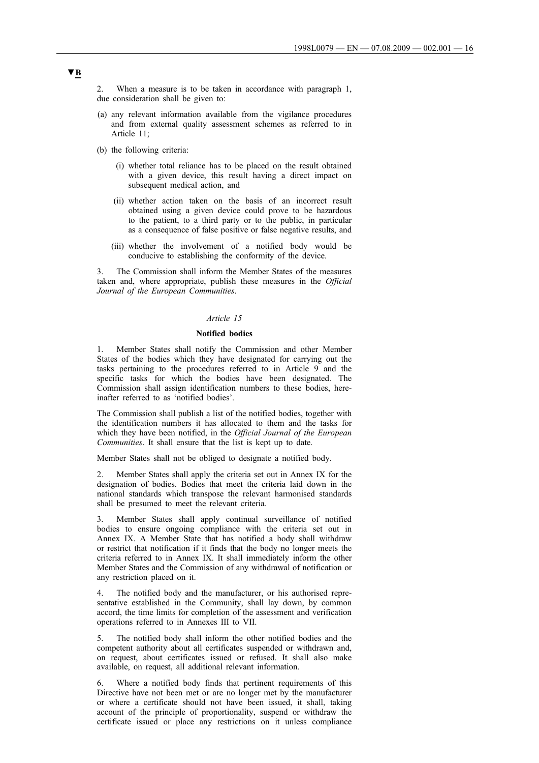2. When a measure is to be taken in accordance with paragraph 1, due consideration shall be given to:

- (a) any relevant information available from the vigilance procedures and from external quality assessment schemes as referred to in Article 11;
- (b) the following criteria:
	- (i) whether total reliance has to be placed on the result obtained with a given device, this result having a direct impact on subsequent medical action, and
	- (ii) whether action taken on the basis of an incorrect result obtained using a given device could prove to be hazardous to the patient, to a third party or to the public, in particular as a consequence of false positive or false negative results, and
	- (iii) whether the involvement of a notified body would be conducive to establishing the conformity of the device.

3. The Commission shall inform the Member States of the measures taken and, where appropriate, publish these measures in the *Official Journal of the European Communities*.

### *Article 15*

## **Notified bodies**

1. Member States shall notify the Commission and other Member States of the bodies which they have designated for carrying out the tasks pertaining to the procedures referred to in Article 9 and the specific tasks for which the bodies have been designated. The Commission shall assign identification numbers to these bodies, hereinafter referred to as 'notified bodies'.

The Commission shall publish a list of the notified bodies, together with the identification numbers it has allocated to them and the tasks for which they have been notified, in the *Official Journal of the European Communities*. It shall ensure that the list is kept up to date.

Member States shall not be obliged to designate a notified body.

2. Member States shall apply the criteria set out in Annex IX for the designation of bodies. Bodies that meet the criteria laid down in the national standards which transpose the relevant harmonised standards shall be presumed to meet the relevant criteria.

3. Member States shall apply continual surveillance of notified bodies to ensure ongoing compliance with the criteria set out in Annex IX. A Member State that has notified a body shall withdraw or restrict that notification if it finds that the body no longer meets the criteria referred to in Annex IX. It shall immediately inform the other Member States and the Commission of any withdrawal of notification or any restriction placed on it.

The notified body and the manufacturer, or his authorised representative established in the Community, shall lay down, by common accord, the time limits for completion of the assessment and verification operations referred to in Annexes III to VII.

5. The notified body shall inform the other notified bodies and the competent authority about all certificates suspended or withdrawn and, on request, about certificates issued or refused. It shall also make available, on request, all additional relevant information.

6. Where a notified body finds that pertinent requirements of this Directive have not been met or are no longer met by the manufacturer or where a certificate should not have been issued, it shall, taking account of the principle of proportionality, suspend or withdraw the certificate issued or place any restrictions on it unless compliance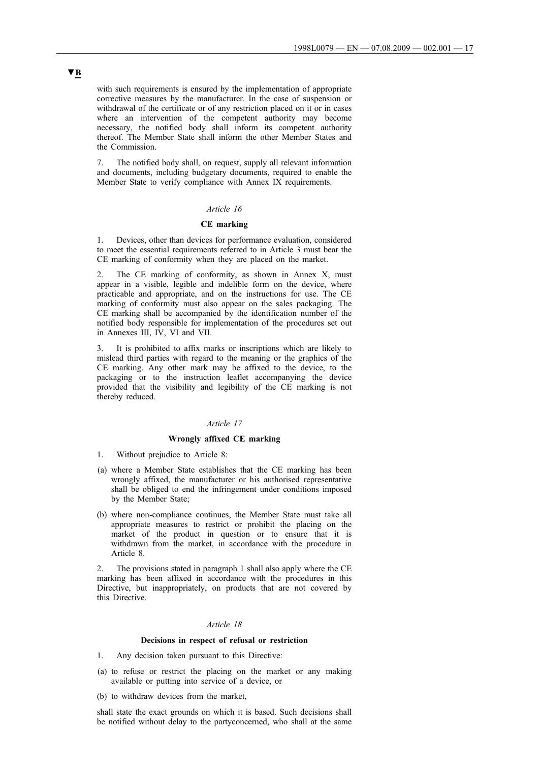with such requirements is ensured by the implementation of appropriate corrective measures by the manufacturer. In the case of suspension or withdrawal of the certificate or of any restriction placed on it or in cases where an intervention of the competent authority may become necessary, the notified body shall inform its competent authority thereof. The Member State shall inform the other Member States and the Commission.

7. The notified body shall, on request, supply all relevant information and documents, including budgetary documents, required to enable the Member State to verify compliance with Annex IX requirements.

## *Article 16*

## **CE marking**

1. Devices, other than devices for performance evaluation, considered to meet the essential requirements referred to in Article 3 must bear the CE marking of conformity when they are placed on the market.

2. The CE marking of conformity, as shown in Annex X, must appear in a visible, legible and indelible form on the device, where practicable and appropriate, and on the instructions for use. The CE marking of conformity must also appear on the sales packaging. The CE marking shall be accompanied by the identification number of the notified body responsible for implementation of the procedures set out in Annexes III, IV, VI and VII.

3. It is prohibited to affix marks or inscriptions which are likely to mislead third parties with regard to the meaning or the graphics of the CE marking. Any other mark may be affixed to the device, to the packaging or to the instruction leaflet accompanying the device provided that the visibility and legibility of the CE marking is not thereby reduced.

### *Article 17*

### **Wrongly affixed CE marking**

1. Without prejudice to Article 8:

- (a) where a Member State establishes that the CE marking has been wrongly affixed, the manufacturer or his authorised representative shall be obliged to end the infringement under conditions imposed by the Member State;
- (b) where non-compliance continues, the Member State must take all appropriate measures to restrict or prohibit the placing on the market of the product in question or to ensure that it is withdrawn from the market, in accordance with the procedure in Article 8.

2. The provisions stated in paragraph 1 shall also apply where the CE marking has been affixed in accordance with the procedures in this Directive, but inappropriately, on products that are not covered by this Directive.

#### *Article 18*

#### **Decisions in respect of refusal or restriction**

- 1. Any decision taken pursuant to this Directive:
- (a) to refuse or restrict the placing on the market or any making available or putting into service of a device, or
- (b) to withdraw devices from the market,

shall state the exact grounds on which it is based. Such decisions shall be notified without delay to the partyconcerned, who shall at the same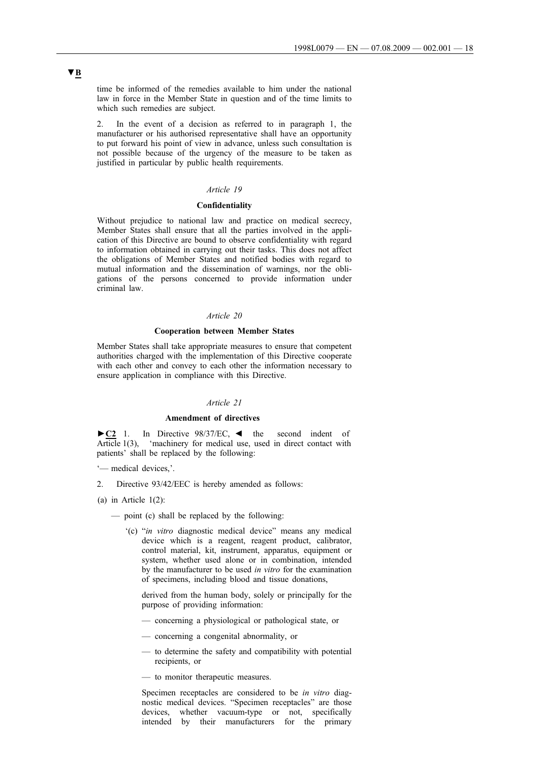time be informed of the remedies available to him under the national law in force in the Member State in question and of the time limits to which such remedies are subject.

2. In the event of a decision as referred to in paragraph 1, the manufacturer or his authorised representative shall have an opportunity to put forward his point of view in advance, unless such consultation is not possible because of the urgency of the measure to be taken as justified in particular by public health requirements.

#### *Article 19*

### **Confidentiality**

Without prejudice to national law and practice on medical secrecy, Member States shall ensure that all the parties involved in the application of this Directive are bound to observe confidentiality with regard to information obtained in carrying out their tasks. This does not affect the obligations of Member States and notified bodies with regard to mutual information and the dissemination of warnings, nor the obligations of the persons concerned to provide information under criminal law.

#### *Article 20*

#### **Cooperation between Member States**

Member States shall take appropriate measures to ensure that competent authorities charged with the implementation of this Directive cooperate with each other and convey to each other the information necessary to ensure application in compliance with this Directive.

### *Article 21*

#### **Amendment of directives**

**►C2** 1. In Directive 98/37/EC, ◄ the second indent of Article 1(3), 'machinery for medical use, used in direct contact with patients' shall be replaced by the following:

- '— medical devices,'.
- 2. Directive 93/42/EEC is hereby amended as follows:
- (a) in Article 1(2):
	- point (c) shall be replaced by the following:
		- '(c) "*in vitro* diagnostic medical device" means any medical device which is a reagent, reagent product, calibrator, control material, kit, instrument, apparatus, equipment or system, whether used alone or in combination, intended by the manufacturer to be used *in vitro* for the examination of specimens, including blood and tissue donations,

derived from the human body, solely or principally for the purpose of providing information:

- concerning a physiological or pathological state, or
- concerning a congenital abnormality, or
- to determine the safety and compatibility with potential recipients, or
- to monitor therapeutic measures.

Specimen receptacles are considered to be *in vitro* diagnostic medical devices. "Specimen receptacles" are those devices, whether vacuum-type or not, specifically intended by their manufacturers for the primary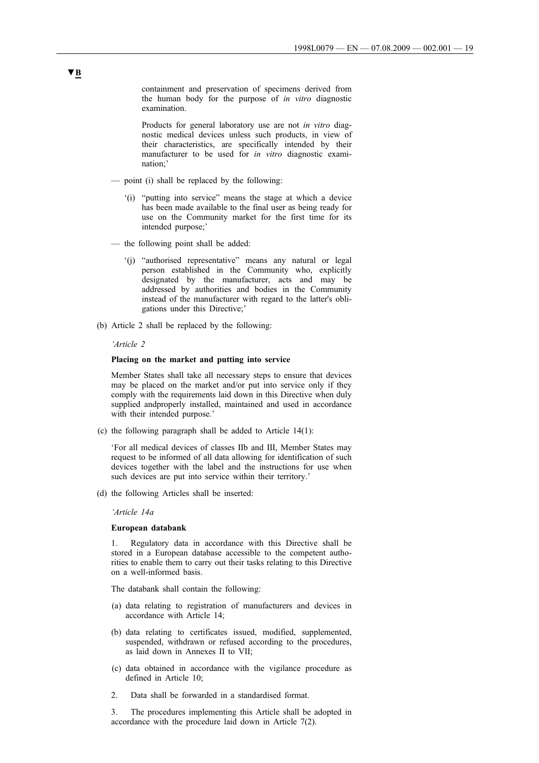containment and preservation of specimens derived from the human body for the purpose of *in vitro* diagnostic examination.

Products for general laboratory use are not *in vitro* diagnostic medical devices unless such products, in view of their characteristics, are specifically intended by their manufacturer to be used for *in vitro* diagnostic examination;'

- point (i) shall be replaced by the following:
	- '(i) "putting into service" means the stage at which a device has been made available to the final user as being ready for use on the Community market for the first time for its intended purpose;'
- the following point shall be added:
	- '(j) "authorised representative" means any natural or legal person established in the Community who, explicitly designated by the manufacturer, acts and may be addressed by authorities and bodies in the Community instead of the manufacturer with regard to the latter's obligations under this Directive;'
- (b) Article 2 shall be replaced by the following:

*'Article 2*

#### **Placing on the market and putting into service**

Member States shall take all necessary steps to ensure that devices may be placed on the market and/or put into service only if they comply with the requirements laid down in this Directive when duly supplied andproperly installed, maintained and used in accordance with their intended purpose.'

(c) the following paragraph shall be added to Article 14(1):

'For all medical devices of classes IIb and III, Member States may request to be informed of all data allowing for identification of such devices together with the label and the instructions for use when such devices are put into service within their territory.'

(d) the following Articles shall be inserted:

#### *'Article 14a*

#### **European databank**

Regulatory data in accordance with this Directive shall be stored in a European database accessible to the competent authorities to enable them to carry out their tasks relating to this Directive on a well-informed basis.

The databank shall contain the following:

- (a) data relating to registration of manufacturers and devices in accordance with Article 14;
- (b) data relating to certificates issued, modified, supplemented, suspended, withdrawn or refused according to the procedures, as laid down in Annexes II to VII;
- (c) data obtained in accordance with the vigilance procedure as defined in Article 10;
- 2. Data shall be forwarded in a standardised format.

3. The procedures implementing this Article shall be adopted in accordance with the procedure laid down in Article 7(2).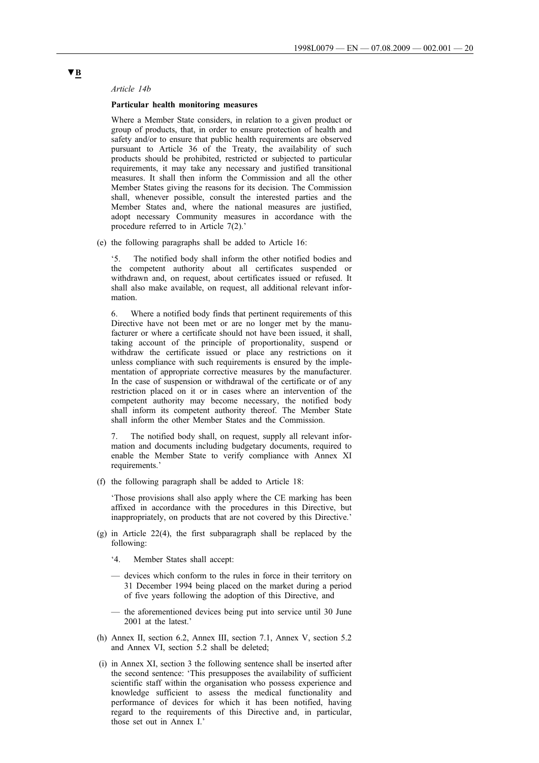#### *Article 14b*

### **Particular health monitoring measures**

Where a Member State considers, in relation to a given product or group of products, that, in order to ensure protection of health and safety and/or to ensure that public health requirements are observed pursuant to Article 36 of the Treaty, the availability of such products should be prohibited, restricted or subjected to particular requirements, it may take any necessary and justified transitional measures. It shall then inform the Commission and all the other Member States giving the reasons for its decision. The Commission shall, whenever possible, consult the interested parties and the Member States and, where the national measures are justified, adopt necessary Community measures in accordance with the procedure referred to in Article 7(2).'

(e) the following paragraphs shall be added to Article 16:

'5. The notified body shall inform the other notified bodies and the competent authority about all certificates suspended or withdrawn and, on request, about certificates issued or refused. It shall also make available, on request, all additional relevant information.

6. Where a notified body finds that pertinent requirements of this Directive have not been met or are no longer met by the manufacturer or where a certificate should not have been issued, it shall, taking account of the principle of proportionality, suspend or withdraw the certificate issued or place any restrictions on it unless compliance with such requirements is ensured by the implementation of appropriate corrective measures by the manufacturer. In the case of suspension or withdrawal of the certificate or of any restriction placed on it or in cases where an intervention of the competent authority may become necessary, the notified body shall inform its competent authority thereof. The Member State shall inform the other Member States and the Commission.

7. The notified body shall, on request, supply all relevant information and documents including budgetary documents, required to enable the Member State to verify compliance with Annex XI requirements.'

(f) the following paragraph shall be added to Article 18:

'Those provisions shall also apply where the CE marking has been affixed in accordance with the procedures in this Directive, but inappropriately, on products that are not covered by this Directive.'

- (g) in Article 22(4), the first subparagraph shall be replaced by the following:
	- '4. Member States shall accept:
	- devices which conform to the rules in force in their territory on 31 December 1994 being placed on the market during a period of five years following the adoption of this Directive, and
	- the aforementioned devices being put into service until 30 June 2001 at the latest.'
- (h) Annex II, section 6.2, Annex III, section 7.1, Annex V, section 5.2 and Annex VI, section 5.2 shall be deleted;
- (i) in Annex XI, section 3 the following sentence shall be inserted after the second sentence: 'This presupposes the availability of sufficient scientific staff within the organisation who possess experience and knowledge sufficient to assess the medical functionality and performance of devices for which it has been notified, having regard to the requirements of this Directive and, in particular, those set out in Annex I.'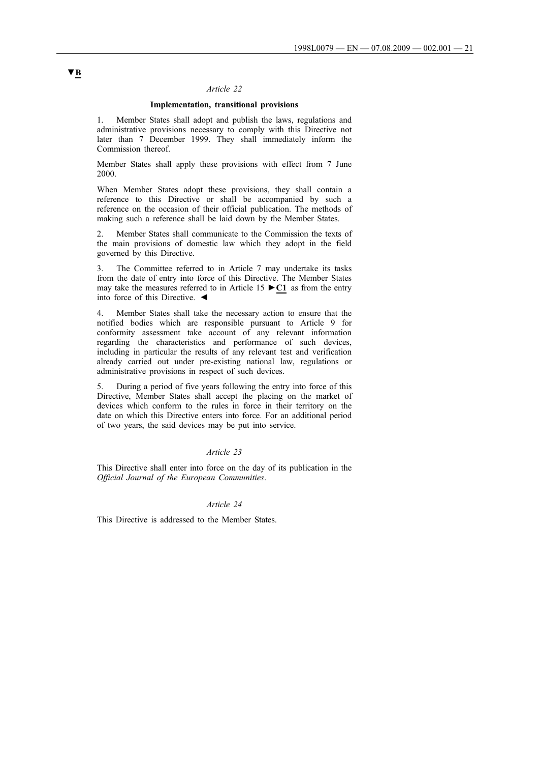## *Article 22*

### **Implementation, transitional provisions**

1. Member States shall adopt and publish the laws, regulations and administrative provisions necessary to comply with this Directive not later than 7 December 1999. They shall immediately inform the Commission thereof.

Member States shall apply these provisions with effect from 7 June 2000.

When Member States adopt these provisions, they shall contain a reference to this Directive or shall be accompanied by such a reference on the occasion of their official publication. The methods of making such a reference shall be laid down by the Member States.

2. Member States shall communicate to the Commission the texts of the main provisions of domestic law which they adopt in the field governed by this Directive.

3. The Committee referred to in Article 7 may undertake its tasks from the date of entry into force of this Directive. The Member States may take the measures referred to in Article 15 **►C1** as from the entry into force of this Directive. ◄

4. Member States shall take the necessary action to ensure that the notified bodies which are responsible pursuant to Article 9 for conformity assessment take account of any relevant information regarding the characteristics and performance of such devices, including in particular the results of any relevant test and verification already carried out under pre-existing national law, regulations or administrative provisions in respect of such devices.

5. During a period of five years following the entry into force of this Directive, Member States shall accept the placing on the market of devices which conform to the rules in force in their territory on the date on which this Directive enters into force. For an additional period of two years, the said devices may be put into service.

### *Article 23*

This Directive shall enter into force on the day of its publication in the *Official Journal of the European Communities*.

#### *Article 24*

This Directive is addressed to the Member States.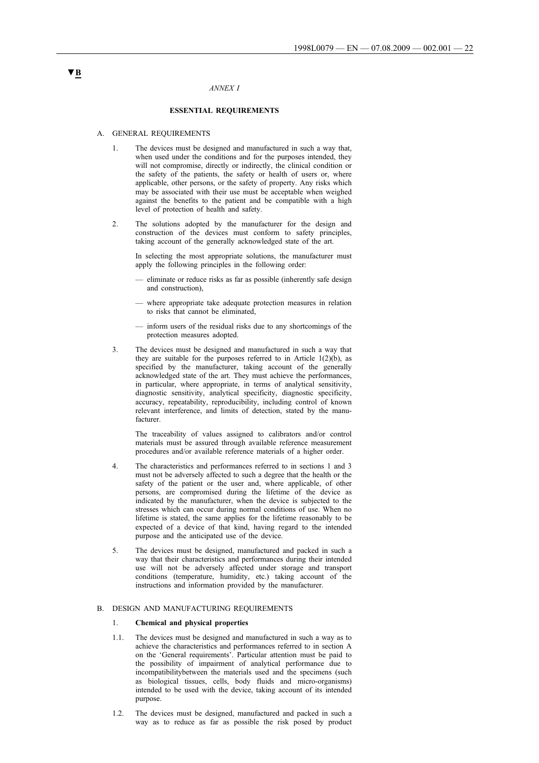#### *ANNEX I*

#### **ESSENTIAL REQUIREMENTS**

#### A. GENERAL REQUIREMENTS

- 1. The devices must be designed and manufactured in such a way that, when used under the conditions and for the purposes intended, they will not compromise, directly or indirectly, the clinical condition or the safety of the patients, the safety or health of users or, where applicable, other persons, or the safety of property. Any risks which may be associated with their use must be acceptable when weighed against the benefits to the patient and be compatible with a high level of protection of health and safety.
- 2. The solutions adopted by the manufacturer for the design and construction of the devices must conform to safety principles, taking account of the generally acknowledged state of the art.

In selecting the most appropriate solutions, the manufacturer must apply the following principles in the following order:

- eliminate or reduce risks as far as possible (inherently safe design and construction),
- where appropriate take adequate protection measures in relation to risks that cannot be eliminated,
- inform users of the residual risks due to any shortcomings of the protection measures adopted.
- 3. The devices must be designed and manufactured in such a way that they are suitable for the purposes referred to in Article  $1(2)(b)$ , as specified by the manufacturer, taking account of the generally acknowledged state of the art. They must achieve the performances, in particular, where appropriate, in terms of analytical sensitivity, diagnostic sensitivity, analytical specificity, diagnostic specificity, accuracy, repeatability, reproducibility, including control of known relevant interference, and limits of detection, stated by the manufacturer.

The traceability of values assigned to calibrators and/or control materials must be assured through available reference measurement procedures and/or available reference materials of a higher order.

- 4. The characteristics and performances referred to in sections 1 and 3 must not be adversely affected to such a degree that the health or the safety of the patient or the user and, where applicable, of other persons, are compromised during the lifetime of the device as indicated by the manufacturer, when the device is subjected to the stresses which can occur during normal conditions of use. When no lifetime is stated, the same applies for the lifetime reasonably to be expected of a device of that kind, having regard to the intended purpose and the anticipated use of the device.
- 5. The devices must be designed, manufactured and packed in such a way that their characteristics and performances during their intended use will not be adversely affected under storage and transport conditions (temperature, humidity, etc.) taking account of the instructions and information provided by the manufacturer.

## B. DESIGN AND MANUFACTURING REQUIREMENTS

#### 1. **Chemical and physical properties**

- 1.1. The devices must be designed and manufactured in such a way as to achieve the characteristics and performances referred to in section A on the 'General requirements'. Particular attention must be paid to the possibility of impairment of analytical performance due to incompatibilitybetween the materials used and the specimens (such as biological tissues, cells, body fluids and micro-organisms) intended to be used with the device, taking account of its intended purpose.
- 1.2. The devices must be designed, manufactured and packed in such a way as to reduce as far as possible the risk posed by product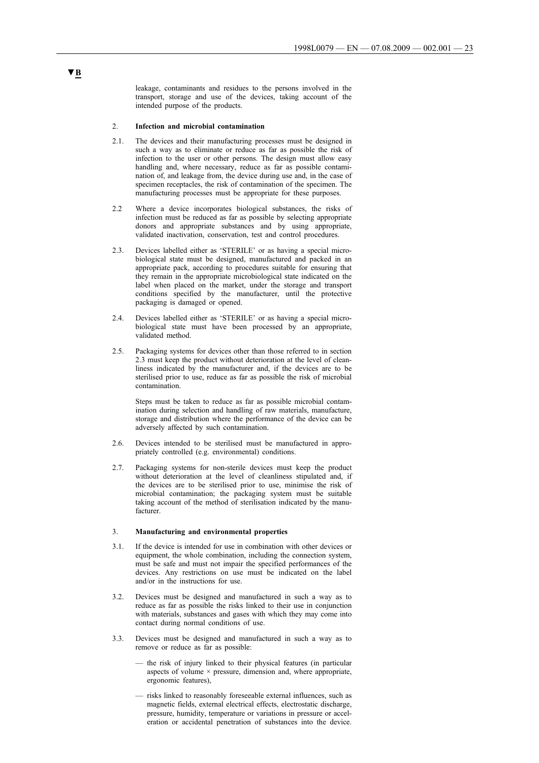leakage, contaminants and residues to the persons involved in the transport, storage and use of the devices, taking account of the intended purpose of the products.

#### 2. **Infection and microbial contamination**

- 2.1. The devices and their manufacturing processes must be designed in such a way as to eliminate or reduce as far as possible the risk of infection to the user or other persons. The design must allow easy handling and, where necessary, reduce as far as possible contamination of, and leakage from, the device during use and, in the case of specimen receptacles, the risk of contamination of the specimen. The manufacturing processes must be appropriate for these purposes.
- 2.2 Where a device incorporates biological substances, the risks of infection must be reduced as far as possible by selecting appropriate donors and appropriate substances and by using appropriate, validated inactivation, conservation, test and control procedures.
- 2.3. Devices labelled either as 'STERILE' or as having a special microbiological state must be designed, manufactured and packed in an appropriate pack, according to procedures suitable for ensuring that they remain in the appropriate microbiological state indicated on the label when placed on the market, under the storage and transport conditions specified by the manufacturer, until the protective packaging is damaged or opened.
- 2.4. Devices labelled either as 'STERILE' or as having a special microbiological state must have been processed by an appropriate, validated method.
- 2.5. Packaging systems for devices other than those referred to in section 2.3 must keep the product without deterioration at the level of cleanliness indicated by the manufacturer and, if the devices are to be sterilised prior to use, reduce as far as possible the risk of microbial contamination.

Steps must be taken to reduce as far as possible microbial contamination during selection and handling of raw materials, manufacture, storage and distribution where the performance of the device can be adversely affected by such contamination.

- 2.6. Devices intended to be sterilised must be manufactured in appropriately controlled (e.g. environmental) conditions.
- 2.7. Packaging systems for non-sterile devices must keep the product without deterioration at the level of cleanliness stipulated and, if the devices are to be sterilised prior to use, minimise the risk of microbial contamination; the packaging system must be suitable taking account of the method of sterilisation indicated by the manufacturer.

#### 3. **Manufacturing and environmental properties**

- 3.1. If the device is intended for use in combination with other devices or equipment, the whole combination, including the connection system, must be safe and must not impair the specified performances of the devices. Any restrictions on use must be indicated on the label and/or in the instructions for use.
- 3.2. Devices must be designed and manufactured in such a way as to reduce as far as possible the risks linked to their use in conjunction with materials, substances and gases with which they may come into contact during normal conditions of use.
- 3.3. Devices must be designed and manufactured in such a way as to remove or reduce as far as possible:
	- the risk of injury linked to their physical features (in particular aspects of volume  $\times$  pressure, dimension and, where appropriate, ergonomic features),
	- risks linked to reasonably foreseeable external influences, such as magnetic fields, external electrical effects, electrostatic discharge, pressure, humidity, temperature or variations in pressure or acceleration or accidental penetration of substances into the device.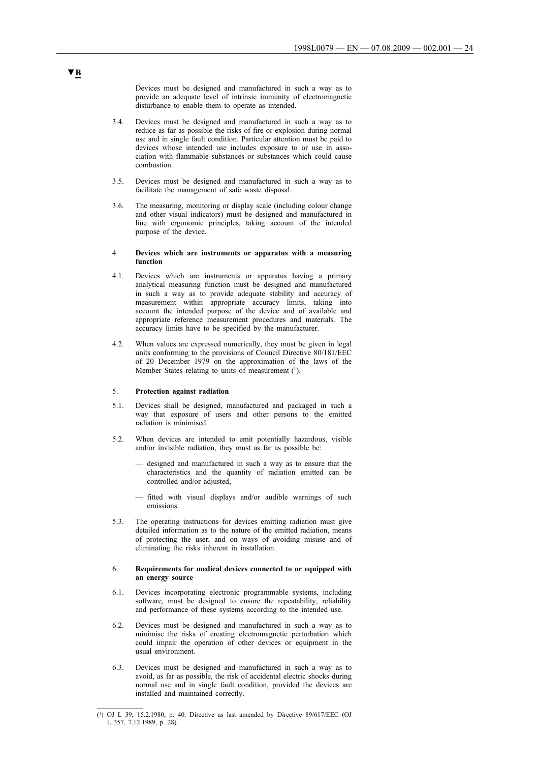Devices must be designed and manufactured in such a way as to provide an adequate level of intrinsic immunity of electromagnetic disturbance to enable them to operate as intended.

- 3.4. Devices must be designed and manufactured in such a way as to reduce as far as possible the risks of fire or explosion during normal use and in single fault condition. Particular attention must be paid to devices whose intended use includes exposure to or use in association with flammable substances or substances which could cause combustion.
- 3.5. Devices must be designed and manufactured in such a way as to facilitate the management of safe waste disposal.
- 3.6. The measuring, monitoring or display scale (including colour change and other visual indicators) must be designed and manufactured in line with ergonomic principles, taking account of the intended purpose of the device.

#### 4. **Devices which are instruments or apparatus with a measuring function**

- 4.1. Devices which are instruments or apparatus having a primary analytical measuring function must be designed and manufactured in such a way as to provide adequate stability and accuracy of measurement within appropriate accuracy limits, taking into account the intended purpose of the device and of available and appropriate reference measurement procedures and materials. The accuracy limits have to be specified by the manufacturer.
- 4.2. When values are expressed numerically, they must be given in legal units conforming to the provisions of Council Directive 80/181/EEC of 20 December 1979 on the approximation of the laws of the Member States relating to units of measurement (1).

### 5. **Protection against radiation**

- 5.1. Devices shall be designed, manufactured and packaged in such a way that exposure of users and other persons to the emitted radiation is minimised.
- 5.2. When devices are intended to emit potentially hazardous, visible and/or invisible radiation, they must as far as possible be:
	- designed and manufactured in such a way as to ensure that the characteristics and the quantity of radiation emitted can be controlled and/or adjusted,
	- fitted with visual displays and/or audible warnings of such emissions.
- 5.3. The operating instructions for devices emitting radiation must give detailed information as to the nature of the emitted radiation, means of protecting the user, and on ways of avoiding misuse and of eliminating the risks inherent in installation.

#### 6. **Requirements for medical devices connected to or equipped with an energy source**

- 6.1. Devices incorporating electronic programmable systems, including software, must be designed to ensure the repeatability, reliability and performance of these systems according to the intended use.
- 6.2. Devices must be designed and manufactured in such a way as to minimise the risks of creating electromagnetic perturbation which could impair the operation of other devices or equipment in the usual environment.
- 6.3. Devices must be designed and manufactured in such a way as to avoid, as far as possible, the risk of accidental electric shocks during normal use and in single fault condition, provided the devices are installed and maintained correctly.

<sup>(1)</sup> OJ L 39, 15.2.1980, p. 40. Directive as last amended by Directive 89/617/EEC (OJ L 357, 7.12.1989, p. 28).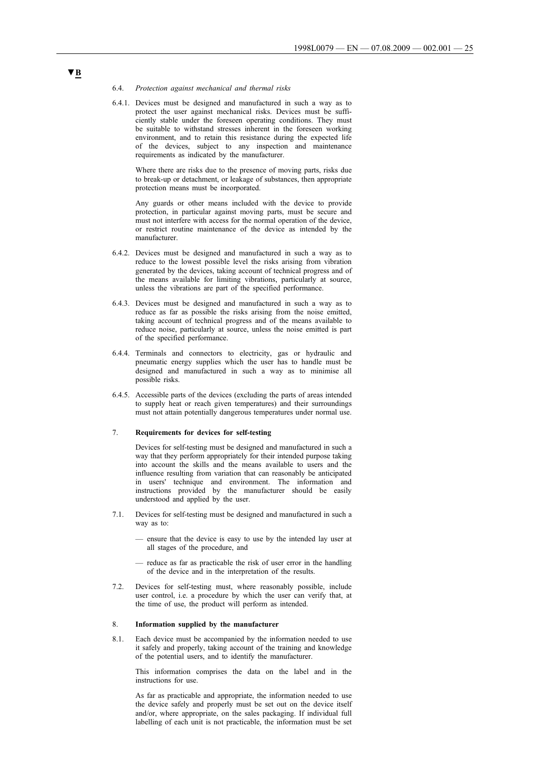#### 6.4. *Protection against mechanical and thermal risks*

6.4.1. Devices must be designed and manufactured in such a way as to protect the user against mechanical risks. Devices must be sufficiently stable under the foreseen operating conditions. They must be suitable to withstand stresses inherent in the foreseen working environment, and to retain this resistance during the expected life of the devices, subject to any inspection and maintenance requirements as indicated by the manufacturer.

Where there are risks due to the presence of moving parts, risks due to break-up or detachment, or leakage of substances, then appropriate protection means must be incorporated.

Any guards or other means included with the device to provide protection, in particular against moving parts, must be secure and must not interfere with access for the normal operation of the device, or restrict routine maintenance of the device as intended by the manufacturer.

- 6.4.2. Devices must be designed and manufactured in such a way as to reduce to the lowest possible level the risks arising from vibration generated by the devices, taking account of technical progress and of the means available for limiting vibrations, particularly at source, unless the vibrations are part of the specified performance.
- 6.4.3. Devices must be designed and manufactured in such a way as to reduce as far as possible the risks arising from the noise emitted, taking account of technical progress and of the means available to reduce noise, particularly at source, unless the noise emitted is part of the specified performance.
- 6.4.4. Terminals and connectors to electricity, gas or hydraulic and pneumatic energy supplies which the user has to handle must be designed and manufactured in such a way as to minimise all possible risks.
- 6.4.5. Accessible parts of the devices (excluding the parts of areas intended to supply heat or reach given temperatures) and their surroundings must not attain potentially dangerous temperatures under normal use.

#### 7. **Requirements for devices for self-testing**

Devices for self-testing must be designed and manufactured in such a way that they perform appropriately for their intended purpose taking into account the skills and the means available to users and the influence resulting from variation that can reasonably be anticipated in users' technique and environment. The information and instructions provided by the manufacturer should be easily understood and applied by the user.

- 7.1. Devices for self-testing must be designed and manufactured in such a way as to:
	- ensure that the device is easy to use by the intended lay user at all stages of the procedure, and
	- reduce as far as practicable the risk of user error in the handling of the device and in the interpretation of the results.
- 7.2. Devices for self-testing must, where reasonably possible, include user control, i.e. a procedure by which the user can verify that, at the time of use, the product will perform as intended.

#### 8. **Information supplied by the manufacturer**

8.1. Each device must be accompanied by the information needed to use it safely and properly, taking account of the training and knowledge of the potential users, and to identify the manufacturer.

This information comprises the data on the label and in the instructions for use.

As far as practicable and appropriate, the information needed to use the device safely and properly must be set out on the device itself and/or, where appropriate, on the sales packaging. If individual full labelling of each unit is not practicable, the information must be set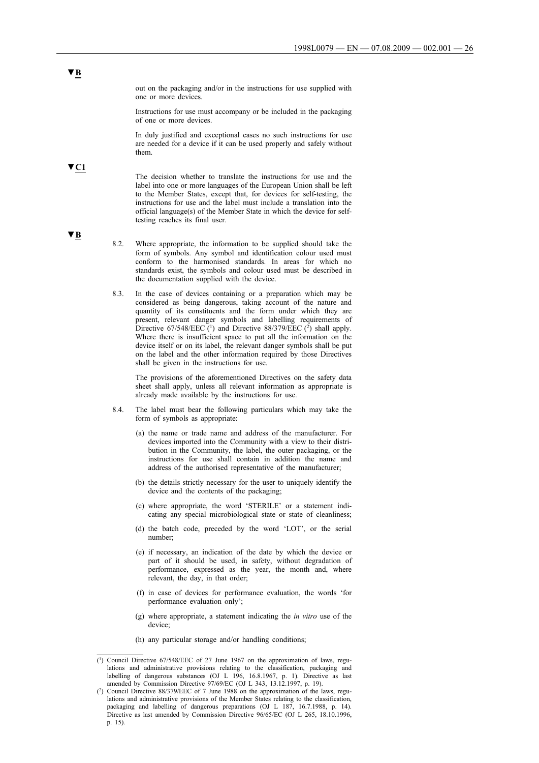out on the packaging and/or in the instructions for use supplied with one or more devices.

Instructions for use must accompany or be included in the packaging of one or more devices.

In duly justified and exceptional cases no such instructions for use are needed for a device if it can be used properly and safely without them.

The decision whether to translate the instructions for use and the label into one or more languages of the European Union shall be left to the Member States, except that, for devices for self-testing, the instructions for use and the label must include a translation into the official language(s) of the Member State in which the device for selftesting reaches its final user.

**▼B**

**▼C1**

- 8.2. Where appropriate, the information to be supplied should take the form of symbols. Any symbol and identification colour used must conform to the harmonised standards. In areas for which no standards exist, the symbols and colour used must be described in the documentation supplied with the device.
- 8.3. In the case of devices containing or a preparation which may be considered as being dangerous, taking account of the nature and quantity of its constituents and the form under which they are present, relevant danger symbols and labelling requirements of Directive  $67/548/EEC$  (<sup>1</sup>) and Directive  $88/379/EEC$  (<sup>2</sup>) shall apply. Where there is insufficient space to put all the information on the device itself or on its label, the relevant danger symbols shall be put on the label and the other information required by those Directives shall be given in the instructions for use.

The provisions of the aforementioned Directives on the safety data sheet shall apply, unless all relevant information as appropriate is already made available by the instructions for use.

- 8.4. The label must bear the following particulars which may take the form of symbols as appropriate:
	- (a) the name or trade name and address of the manufacturer. For devices imported into the Community with a view to their distribution in the Community, the label, the outer packaging, or the instructions for use shall contain in addition the name and address of the authorised representative of the manufacturer;
	- (b) the details strictly necessary for the user to uniquely identify the device and the contents of the packaging;
	- (c) where appropriate, the word 'STERILE' or a statement indicating any special microbiological state or state of cleanliness;
	- (d) the batch code, preceded by the word 'LOT', or the serial number;
	- (e) if necessary, an indication of the date by which the device or part of it should be used, in safety, without degradation of performance, expressed as the year, the month and, where relevant, the day, in that order;
	- (f) in case of devices for performance evaluation, the words 'for performance evaluation only';
	- (g) where appropriate, a statement indicating the *in vitro* use of the device;
	- (h) any particular storage and/or handling conditions;

<sup>(1)</sup> Council Directive 67/548/EEC of 27 June 1967 on the approximation of laws, regulations and administrative provisions relating to the classification, packaging and labelling of dangerous substances (OJ L 196, 16.8.1967, p. 1). Directive as last amended by Commission Directive 97/69/EC (OJ L 343, 13.12.1997, p. 19).

<sup>(2)</sup> Council Directive 88/379/EEC of 7 June 1988 on the approximation of the laws, regulations and administrative provisions of the Member States relating to the classification, packaging and labelling of dangerous preparations (OJ L 187, 16.7.1988, p. 14). Directive as last amended by Commission Directive 96/65/EC (OJ L 265, 18.10.1996, p. 15).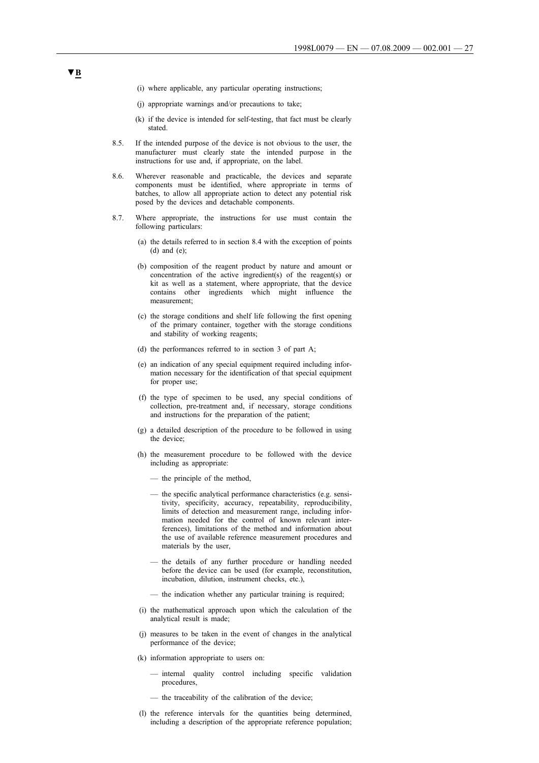- (i) where applicable, any particular operating instructions;
- (j) appropriate warnings and/or precautions to take;
- (k) if the device is intended for self-testing, that fact must be clearly stated.
- 8.5. If the intended purpose of the device is not obvious to the user, the manufacturer must clearly state the intended purpose in the instructions for use and, if appropriate, on the label.
- 8.6. Wherever reasonable and practicable, the devices and separate components must be identified, where appropriate in terms of batches, to allow all appropriate action to detect any potential risk posed by the devices and detachable components.
- 8.7. Where appropriate, the instructions for use must contain the following particulars:
	- (a) the details referred to in section 8.4 with the exception of points (d) and (e);
	- (b) composition of the reagent product by nature and amount or concentration of the active ingredient(s) of the reagent(s) or kit as well as a statement, where appropriate, that the device contains other ingredients which might influence the measurement;
	- (c) the storage conditions and shelf life following the first opening of the primary container, together with the storage conditions and stability of working reagents;
	- (d) the performances referred to in section 3 of part A;
	- (e) an indication of any special equipment required including information necessary for the identification of that special equipment for proper use;
	- (f) the type of specimen to be used, any special conditions of collection, pre-treatment and, if necessary, storage conditions and instructions for the preparation of the patient;
	- (g) a detailed description of the procedure to be followed in using the device;
	- (h) the measurement procedure to be followed with the device including as appropriate:
		- the principle of the method,
		- the specific analytical performance characteristics (e.g. sensitivity, specificity, accuracy, repeatability, reproducibility, limits of detection and measurement range, including information needed for the control of known relevant interferences), limitations of the method and information about the use of available reference measurement procedures and materials by the user,
		- the details of any further procedure or handling needed before the device can be used (for example, reconstitution, incubation, dilution, instrument checks, etc.),
		- the indication whether any particular training is required;
	- (i) the mathematical approach upon which the calculation of the analytical result is made;
	- (j) measures to be taken in the event of changes in the analytical performance of the device;
	- (k) information appropriate to users on:
		- internal quality control including specific validation procedures,
		- the traceability of the calibration of the device;
	- (l) the reference intervals for the quantities being determined, including a description of the appropriate reference population;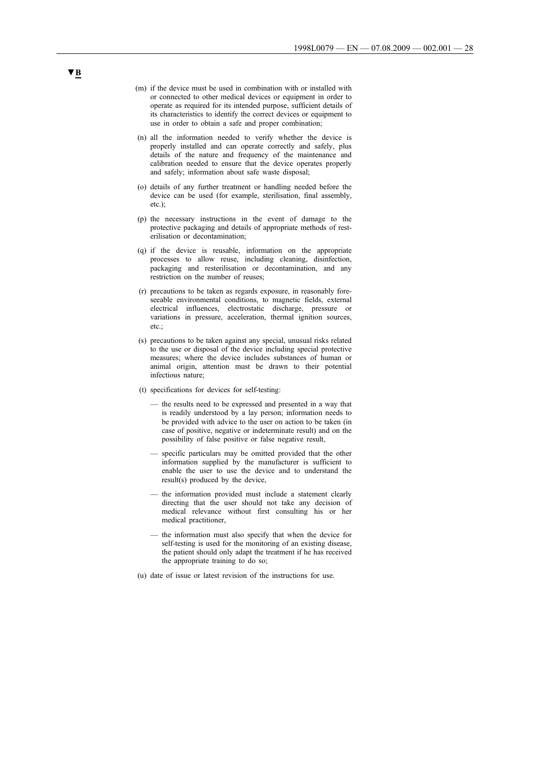- (m) if the device must be used in combination with or installed with or connected to other medical devices or equipment in order to operate as required for its intended purpose, sufficient details of its characteristics to identify the correct devices or equipment to use in order to obtain a safe and proper combination;
- (n) all the information needed to verify whether the device is properly installed and can operate correctly and safely, plus details of the nature and frequency of the maintenance and calibration needed to ensure that the device operates properly and safely; information about safe waste disposal;
- (o) details of any further treatment or handling needed before the device can be used (for example, sterilisation, final assembly, etc.);
- (p) the necessary instructions in the event of damage to the protective packaging and details of appropriate methods of resterilisation or decontamination;
- (q) if the device is reusable, information on the appropriate processes to allow reuse, including cleaning, disinfection, packaging and resterilisation or decontamination, and any restriction on the number of reuses;
- (r) precautions to be taken as regards exposure, in reasonably foreseeable environmental conditions, to magnetic fields, external electrical influences, electrostatic discharge, pressure or variations in pressure, acceleration, thermal ignition sources, etc.;
- (s) precautions to be taken against any special, unusual risks related to the use or disposal of the device including special protective measures; where the device includes substances of human or animal origin, attention must be drawn to their potential infectious nature;
- (t) specifications for devices for self-testing:
	- the results need to be expressed and presented in a way that is readily understood by a lay person; information needs to be provided with advice to the user on action to be taken (in case of positive, negative or indeterminate result) and on the possibility of false positive or false negative result,
	- specific particulars may be omitted provided that the other information supplied by the manufacturer is sufficient to enable the user to use the device and to understand the result(s) produced by the device,
	- the information provided must include a statement clearly directing that the user should not take any decision of medical relevance without first consulting his or her medical practitioner,
	- the information must also specify that when the device for self-testing is used for the monitoring of an existing disease, the patient should only adapt the treatment if he has received the appropriate training to do so;
- (u) date of issue or latest revision of the instructions for use.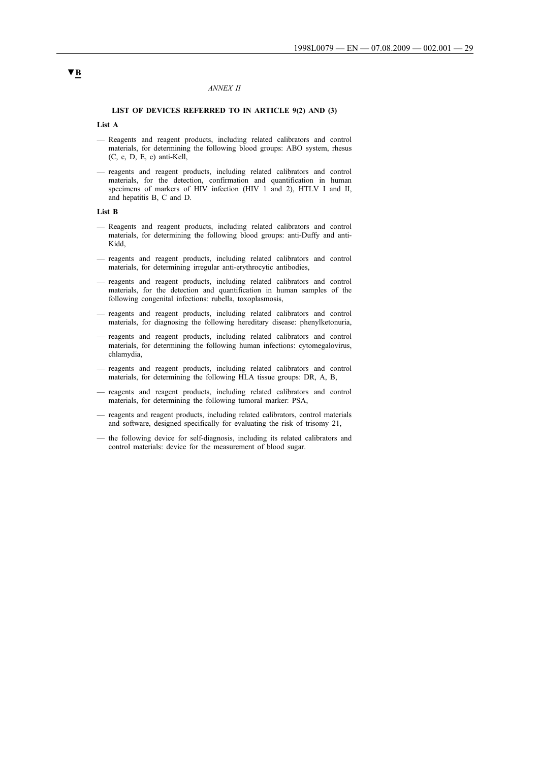### *ANNEX II*

### **LIST OF DEVICES REFERRED TO IN ARTICLE 9(2) AND (3)**

**List A**

- Reagents and reagent products, including related calibrators and control materials, for determining the following blood groups: ABO system, rhesus (C, c, D, E, e) anti-Kell,
- reagents and reagent products, including related calibrators and control materials, for the detection, confirmation and quantification in human specimens of markers of HIV infection (HIV 1 and 2), HTLV I and II, and hepatitis B, C and D.

**List B**

- Reagents and reagent products, including related calibrators and control materials, for determining the following blood groups: anti-Duffy and anti-Kidd,
- reagents and reagent products, including related calibrators and control materials, for determining irregular anti-erythrocytic antibodies,
- reagents and reagent products, including related calibrators and control materials, for the detection and quantification in human samples of the following congenital infections: rubella, toxoplasmosis,
- reagents and reagent products, including related calibrators and control materials, for diagnosing the following hereditary disease: phenylketonuria,
- reagents and reagent products, including related calibrators and control materials, for determining the following human infections: cytomegalovirus, chlamydia,
- reagents and reagent products, including related calibrators and control materials, for determining the following HLA tissue groups: DR, A, B,
- reagents and reagent products, including related calibrators and control materials, for determining the following tumoral marker: PSA,
- reagents and reagent products, including related calibrators, control materials and software, designed specifically for evaluating the risk of trisomy 21,
- the following device for self-diagnosis, including its related calibrators and control materials: device for the measurement of blood sugar.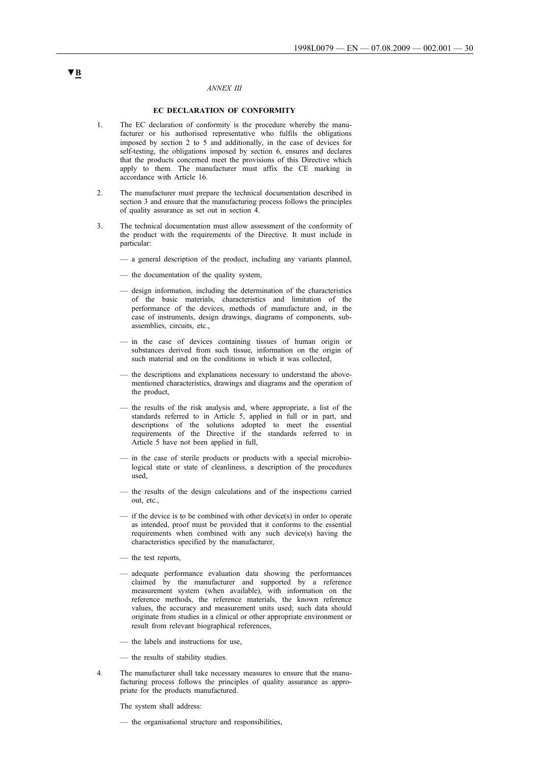#### *ANNEX III*

### **EC DECLARATION OF CONFORMITY**

- 1. The EC declaration of conformity is the procedure whereby the manufacturer or his authorised representative who fulfils the obligations imposed by section 2 to 5 and additionally, in the case of devices for self-testing, the obligations imposed by section 6, ensures and declares that the products concerned meet the provisions of this Directive which apply to them. The manufacturer must affix the CE marking in accordance with Article 16.
- 2. The manufacturer must prepare the technical documentation described in section 3 and ensure that the manufacturing process follows the principles of quality assurance as set out in section 4.
- 3. The technical documentation must allow assessment of the conformity of the product with the requirements of the Directive. It must include in particular:
	- a general description of the product, including any variants planned,
	- the documentation of the quality system,
	- design information, including the determination of the characteristics of the basic materials, characteristics and limitation of the performance of the devices, methods of manufacture and, in the case of instruments, design drawings, diagrams of components, subassemblies, circuits, etc.,
	- in the case of devices containing tissues of human origin or substances derived from such tissue, information on the origin of such material and on the conditions in which it was collected,
	- the descriptions and explanations necessary to understand the abovementioned characteristics, drawings and diagrams and the operation of the product,
	- the results of the risk analysis and, where appropriate, a list of the standards referred to in Article 5, applied in full or in part, and descriptions of the solutions adopted to meet the essential requirements of the Directive if the standards referred to in Article 5 have not been applied in full,
	- in the case of sterile products or products with a special microbiological state or state of cleanliness, a description of the procedures used,
	- the results of the design calculations and of the inspections carried out, etc.,
	- if the device is to be combined with other device(s) in order to operate as intended, proof must be provided that it conforms to the essential requirements when combined with any such device(s) having the characteristics specified by the manufacturer,
	- the test reports,
	- adequate performance evaluation data showing the performances claimed by the manufacturer and supported by a reference measurement system (when available), with information on the reference methods, the reference materials, the known reference values, the accuracy and measurement units used; such data should originate from studies in a clinical or other appropriate environment or result from relevant biographical references,
	- the labels and instructions for use,
	- the results of stability studies.
- 4. The manufacturer shall take necessary measures to ensure that the manufacturing process follows the principles of quality assurance as appropriate for the products manufactured.

The system shall address:

— the organisational structure and responsibilities,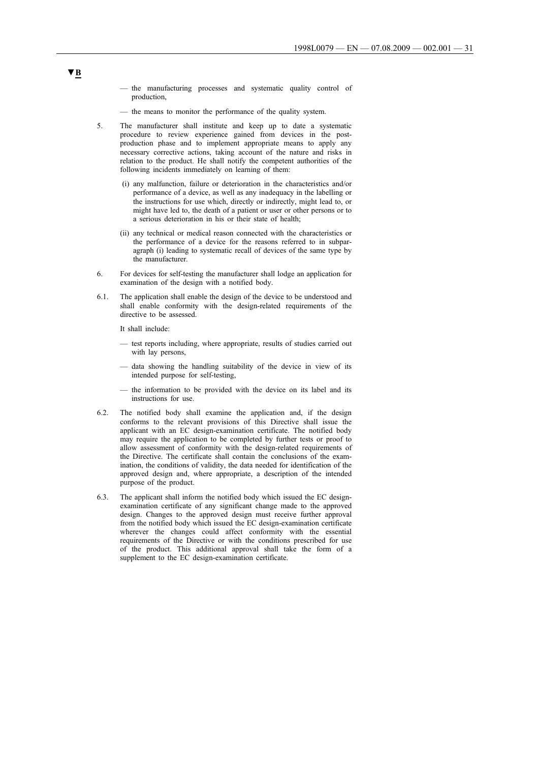- the manufacturing processes and systematic quality control of production,
- the means to monitor the performance of the quality system.
- 5. The manufacturer shall institute and keep up to date a systematic procedure to review experience gained from devices in the postproduction phase and to implement appropriate means to apply any necessary corrective actions, taking account of the nature and risks in relation to the product. He shall notify the competent authorities of the following incidents immediately on learning of them:
	- (i) any malfunction, failure or deterioration in the characteristics and/or performance of a device, as well as any inadequacy in the labelling or the instructions for use which, directly or indirectly, might lead to, or might have led to, the death of a patient or user or other persons or to a serious deterioration in his or their state of health;
	- (ii) any technical or medical reason connected with the characteristics or the performance of a device for the reasons referred to in subparagraph (i) leading to systematic recall of devices of the same type by the manufacturer.
- 6. For devices for self-testing the manufacturer shall lodge an application for examination of the design with a notified body.
- 6.1. The application shall enable the design of the device to be understood and shall enable conformity with the design-related requirements of the directive to be assessed.

It shall include:

- test reports including, where appropriate, results of studies carried out with lay persons,
- data showing the handling suitability of the device in view of its intended purpose for self-testing,
- the information to be provided with the device on its label and its instructions for use.
- 6.2. The notified body shall examine the application and, if the design conforms to the relevant provisions of this Directive shall issue the applicant with an EC design-examination certificate. The notified body may require the application to be completed by further tests or proof to allow assessment of conformity with the design-related requirements of the Directive. The certificate shall contain the conclusions of the examination, the conditions of validity, the data needed for identification of the approved design and, where appropriate, a description of the intended purpose of the product.
- 6.3. The applicant shall inform the notified body which issued the EC designexamination certificate of any significant change made to the approved design. Changes to the approved design must receive further approval from the notified body which issued the EC design-examination certificate wherever the changes could affect conformity with the essential requirements of the Directive or with the conditions prescribed for use of the product. This additional approval shall take the form of a supplement to the EC design-examination certificate.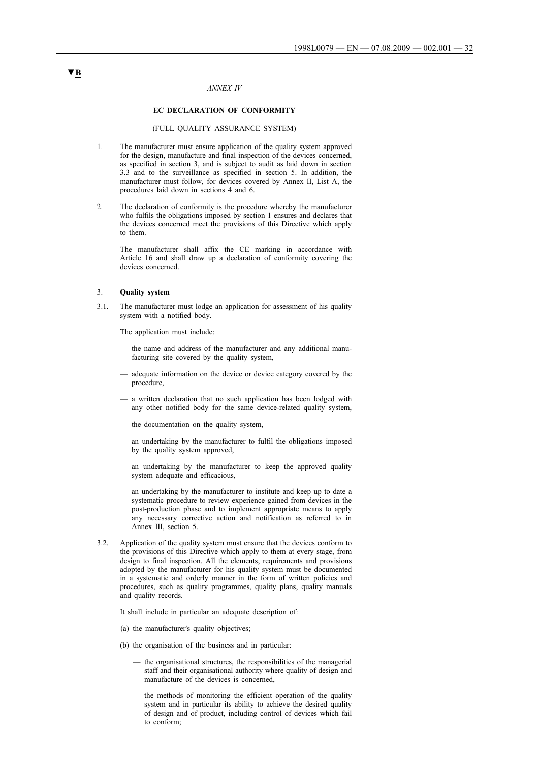### *ANNEX IV*

### **EC DECLARATION OF CONFORMITY**

#### (FULL QUALITY ASSURANCE SYSTEM)

- 1. The manufacturer must ensure application of the quality system approved for the design, manufacture and final inspection of the devices concerned, as specified in section 3, and is subject to audit as laid down in section 3.3 and to the surveillance as specified in section 5. In addition, the manufacturer must follow, for devices covered by Annex II, List A, the procedures laid down in sections 4 and 6.
- 2. The declaration of conformity is the procedure whereby the manufacturer who fulfils the obligations imposed by section 1 ensures and declares that the devices concerned meet the provisions of this Directive which apply to them.

The manufacturer shall affix the CE marking in accordance with Article 16 and shall draw up a declaration of conformity covering the devices concerned.

### 3. **Quality system**

3.1. The manufacturer must lodge an application for assessment of his quality system with a notified body.

The application must include:

- the name and address of the manufacturer and any additional manufacturing site covered by the quality system,
- adequate information on the device or device category covered by the procedure,
- a written declaration that no such application has been lodged with any other notified body for the same device-related quality system,
- the documentation on the quality system,
- an undertaking by the manufacturer to fulfil the obligations imposed by the quality system approved,
- an undertaking by the manufacturer to keep the approved quality system adequate and efficacious,
- an undertaking by the manufacturer to institute and keep up to date a systematic procedure to review experience gained from devices in the post-production phase and to implement appropriate means to apply any necessary corrective action and notification as referred to in Annex III, section 5.
- 3.2. Application of the quality system must ensure that the devices conform to the provisions of this Directive which apply to them at every stage, from design to final inspection. All the elements, requirements and provisions adopted by the manufacturer for his quality system must be documented in a systematic and orderly manner in the form of written policies and procedures, such as quality programmes, quality plans, quality manuals and quality records.

It shall include in particular an adequate description of:

- (a) the manufacturer's quality objectives;
- (b) the organisation of the business and in particular:
	- the organisational structures, the responsibilities of the managerial staff and their organisational authority where quality of design and manufacture of the devices is concerned,
	- the methods of monitoring the efficient operation of the quality system and in particular its ability to achieve the desired quality of design and of product, including control of devices which fail to conform;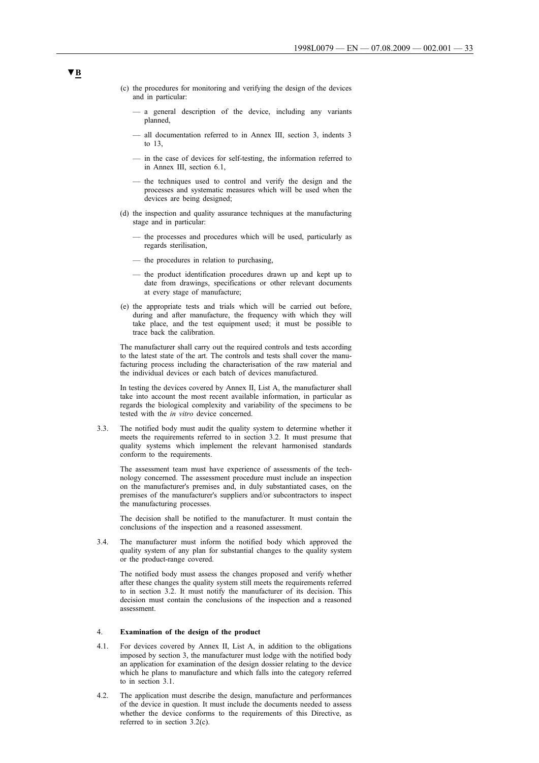- (c) the procedures for monitoring and verifying the design of the devices and in particular:
	- a general description of the device, including any variants planned,
	- all documentation referred to in Annex III, section 3, indents 3 to 13,
	- in the case of devices for self-testing, the information referred to in Annex III, section 6.1.
	- the techniques used to control and verify the design and the processes and systematic measures which will be used when the devices are being designed;
- (d) the inspection and quality assurance techniques at the manufacturing stage and in particular:
	- the processes and procedures which will be used, particularly as regards sterilisation,
	- the procedures in relation to purchasing,
	- the product identification procedures drawn up and kept up to date from drawings, specifications or other relevant documents at every stage of manufacture;
- (e) the appropriate tests and trials which will be carried out before, during and after manufacture, the frequency with which they will take place, and the test equipment used; it must be possible to trace back the calibration.

The manufacturer shall carry out the required controls and tests according to the latest state of the art. The controls and tests shall cover the manufacturing process including the characterisation of the raw material and the individual devices or each batch of devices manufactured.

In testing the devices covered by Annex II, List A, the manufacturer shall take into account the most recent available information, in particular as regards the biological complexity and variability of the specimens to be tested with the *in vitro* device concerned.

3.3. The notified body must audit the quality system to determine whether it meets the requirements referred to in section 3.2. It must presume that quality systems which implement the relevant harmonised standards conform to the requirements.

The assessment team must have experience of assessments of the technology concerned. The assessment procedure must include an inspection on the manufacturer's premises and, in duly substantiated cases, on the premises of the manufacturer's suppliers and/or subcontractors to inspect the manufacturing processes.

The decision shall be notified to the manufacturer. It must contain the conclusions of the inspection and a reasoned assessment.

3.4. The manufacturer must inform the notified body which approved the quality system of any plan for substantial changes to the quality system or the product-range covered.

The notified body must assess the changes proposed and verify whether after these changes the quality system still meets the requirements referred to in section 3.2. It must notify the manufacturer of its decision. This decision must contain the conclusions of the inspection and a reasoned assessment.

#### 4. **Examination of the design of the product**

- 4.1. For devices covered by Annex II, List A, in addition to the obligations imposed by section 3, the manufacturer must lodge with the notified body an application for examination of the design dossier relating to the device which he plans to manufacture and which falls into the category referred to in section 3.1.
- 4.2. The application must describe the design, manufacture and performances of the device in question. It must include the documents needed to assess whether the device conforms to the requirements of this Directive, as referred to in section 3.2(c).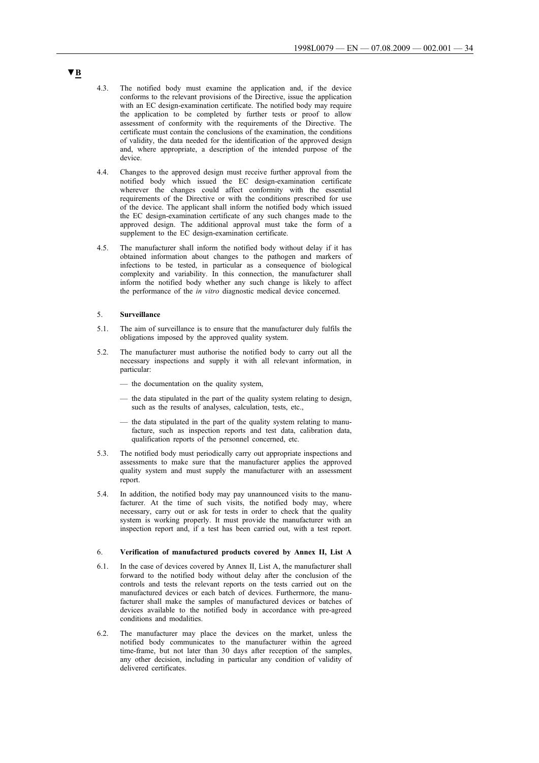- 4.3. The notified body must examine the application and, if the device conforms to the relevant provisions of the Directive, issue the application with an EC design-examination certificate. The notified body may require the application to be completed by further tests or proof to allow assessment of conformity with the requirements of the Directive. The certificate must contain the conclusions of the examination, the conditions of validity, the data needed for the identification of the approved design and, where appropriate, a description of the intended purpose of the device.
- 4.4. Changes to the approved design must receive further approval from the notified body which issued the EC design-examination certificate wherever the changes could affect conformity with the essential requirements of the Directive or with the conditions prescribed for use of the device. The applicant shall inform the notified body which issued the EC design-examination certificate of any such changes made to the approved design. The additional approval must take the form of a supplement to the EC design-examination certificate.
- 4.5. The manufacturer shall inform the notified body without delay if it has obtained information about changes to the pathogen and markers of infections to be tested, in particular as a consequence of biological complexity and variability. In this connection, the manufacturer shall inform the notified body whether any such change is likely to affect the performance of the *in vitro* diagnostic medical device concerned.

### 5. **Surveillance**

- 5.1. The aim of surveillance is to ensure that the manufacturer duly fulfils the obligations imposed by the approved quality system.
- 5.2. The manufacturer must authorise the notified body to carry out all the necessary inspections and supply it with all relevant information, in particular:
	- the documentation on the quality system,
	- the data stipulated in the part of the quality system relating to design, such as the results of analyses, calculation, tests, etc.,
	- the data stipulated in the part of the quality system relating to manufacture, such as inspection reports and test data, calibration data, qualification reports of the personnel concerned, etc.
- 5.3. The notified body must periodically carry out appropriate inspections and assessments to make sure that the manufacturer applies the approved quality system and must supply the manufacturer with an assessment report.
- 5.4. In addition, the notified body may pay unannounced visits to the manufacturer. At the time of such visits, the notified body may, where necessary, carry out or ask for tests in order to check that the quality system is working properly. It must provide the manufacturer with an inspection report and, if a test has been carried out, with a test report.

### 6. **Verification of manufactured products covered by Annex II, List A**

- 6.1. In the case of devices covered by Annex II, List A, the manufacturer shall forward to the notified body without delay after the conclusion of the controls and tests the relevant reports on the tests carried out on the manufactured devices or each batch of devices. Furthermore, the manufacturer shall make the samples of manufactured devices or batches of devices available to the notified body in accordance with pre-agreed conditions and modalities.
- 6.2. The manufacturer may place the devices on the market, unless the notified body communicates to the manufacturer within the agreed time-frame, but not later than 30 days after reception of the samples, any other decision, including in particular any condition of validity of delivered certificates.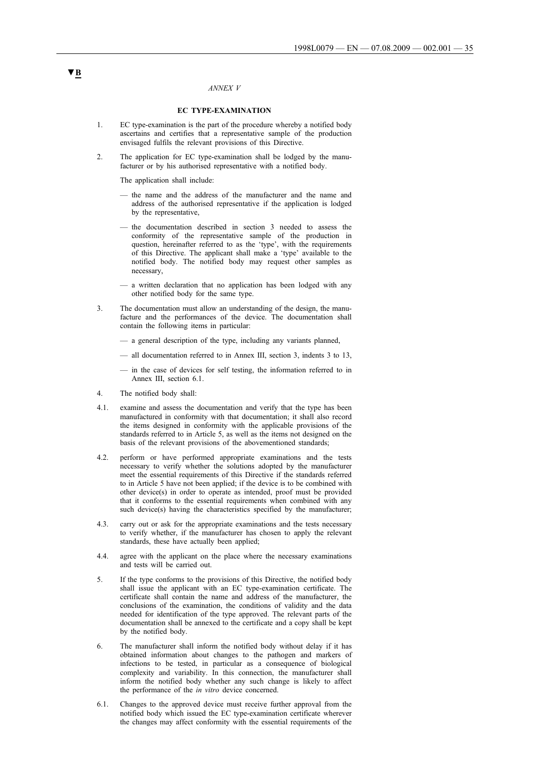### *ANNEX V*

### **EC TYPE-EXAMINATION**

- 1. EC type-examination is the part of the procedure whereby a notified body ascertains and certifies that a representative sample of the production envisaged fulfils the relevant provisions of this Directive.
- 2. The application for EC type-examination shall be lodged by the manufacturer or by his authorised representative with a notified body.

The application shall include:

- the name and the address of the manufacturer and the name and address of the authorised representative if the application is lodged by the representative,
- the documentation described in section 3 needed to assess the conformity of the representative sample of the production in question, hereinafter referred to as the 'type', with the requirements of this Directive. The applicant shall make a 'type' available to the notified body. The notified body may request other samples as necessary,
- a written declaration that no application has been lodged with any other notified body for the same type.
- 3. The documentation must allow an understanding of the design, the manufacture and the performances of the device. The documentation shall contain the following items in particular:
	- a general description of the type, including any variants planned,
	- all documentation referred to in Annex III, section 3, indents 3 to 13,
	- in the case of devices for self testing, the information referred to in Annex III, section 6.1.
- 4. The notified body shall:
- 4.1. examine and assess the documentation and verify that the type has been manufactured in conformity with that documentation; it shall also record the items designed in conformity with the applicable provisions of the standards referred to in Article 5, as well as the items not designed on the basis of the relevant provisions of the abovementioned standards;
- 4.2. perform or have performed appropriate examinations and the tests necessary to verify whether the solutions adopted by the manufacturer meet the essential requirements of this Directive if the standards referred to in Article 5 have not been applied; if the device is to be combined with other device(s) in order to operate as intended, proof must be provided that it conforms to the essential requirements when combined with any such device(s) having the characteristics specified by the manufacturer;
- 4.3. carry out or ask for the appropriate examinations and the tests necessary to verify whether, if the manufacturer has chosen to apply the relevant standards, these have actually been applied;
- 4.4. agree with the applicant on the place where the necessary examinations and tests will be carried out.
- 5. If the type conforms to the provisions of this Directive, the notified body shall issue the applicant with an EC type-examination certificate. The certificate shall contain the name and address of the manufacturer, the conclusions of the examination, the conditions of validity and the data needed for identification of the type approved. The relevant parts of the documentation shall be annexed to the certificate and a copy shall be kept by the notified body.
- 6. The manufacturer shall inform the notified body without delay if it has obtained information about changes to the pathogen and markers of infections to be tested, in particular as a consequence of biological complexity and variability. In this connection, the manufacturer shall inform the notified body whether any such change is likely to affect the performance of the *in vitro* device concerned.
- 6.1. Changes to the approved device must receive further approval from the notified body which issued the EC type-examination certificate wherever the changes may affect conformity with the essential requirements of the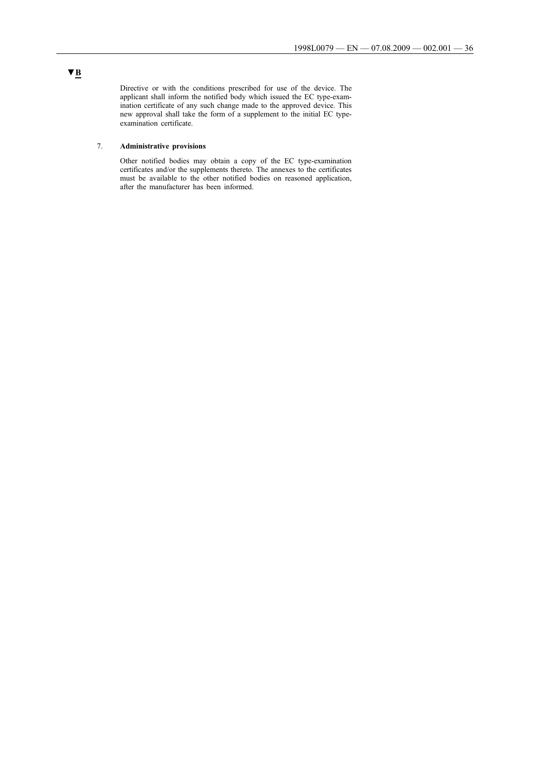Directive or with the conditions prescribed for use of the device. The applicant shall inform the notified body which issued the EC type-examination certificate of any such change made to the approved device. This new approval shall take the form of a supplement to the initial EC typeexamination certificate.

## 7. **Administrative provisions**

Other notified bodies may obtain a copy of the EC type-examination certificates and/or the supplements thereto. The annexes to the certificates must be available to the other notified bodies on reasoned application, after the manufacturer has been informed.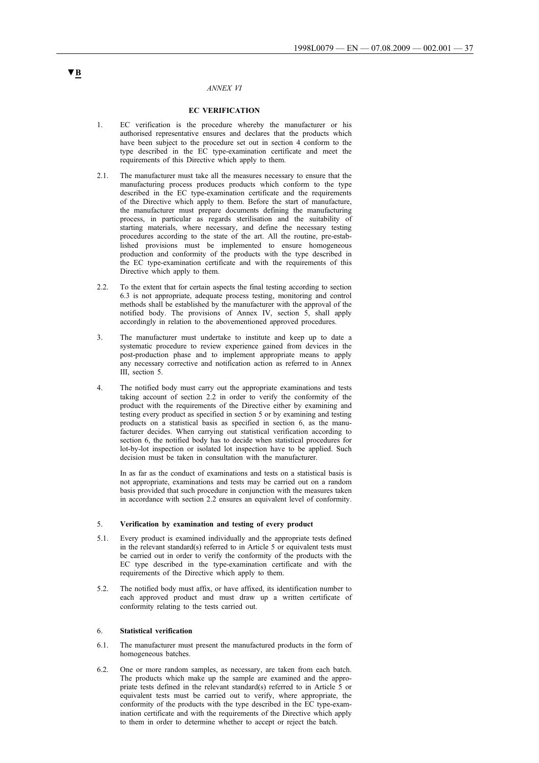### *ANNEX VI*

### **EC VERIFICATION**

- 1. EC verification is the procedure whereby the manufacturer or his authorised representative ensures and declares that the products which have been subject to the procedure set out in section 4 conform to the type described in the EC type-examination certificate and meet the requirements of this Directive which apply to them.
- 2.1. The manufacturer must take all the measures necessary to ensure that the manufacturing process produces products which conform to the type described in the EC type-examination certificate and the requirements of the Directive which apply to them. Before the start of manufacture, the manufacturer must prepare documents defining the manufacturing process, in particular as regards sterilisation and the suitability of starting materials, where necessary, and define the necessary testing procedures according to the state of the art. All the routine, pre-established provisions must be implemented to ensure homogeneous production and conformity of the products with the type described in the EC type-examination certificate and with the requirements of this Directive which apply to them.
- 2.2. To the extent that for certain aspects the final testing according to section 6.3 is not appropriate, adequate process testing, monitoring and control methods shall be established by the manufacturer with the approval of the notified body. The provisions of Annex IV, section 5, shall apply accordingly in relation to the abovementioned approved procedures.
- 3. The manufacturer must undertake to institute and keep up to date a systematic procedure to review experience gained from devices in the post-production phase and to implement appropriate means to apply any necessary corrective and notification action as referred to in Annex III, section 5.
- 4. The notified body must carry out the appropriate examinations and tests taking account of section 2.2 in order to verify the conformity of the product with the requirements of the Directive either by examining and testing every product as specified in section 5 or by examining and testing products on a statistical basis as specified in section 6, as the manufacturer decides. When carrying out statistical verification according to section 6, the notified body has to decide when statistical procedures for lot-by-lot inspection or isolated lot inspection have to be applied. Such decision must be taken in consultation with the manufacturer.

In as far as the conduct of examinations and tests on a statistical basis is not appropriate, examinations and tests may be carried out on a random basis provided that such procedure in conjunction with the measures taken in accordance with section 2.2 ensures an equivalent level of conformity.

#### 5. **Verification by examination and testing of every product**

- 5.1. Every product is examined individually and the appropriate tests defined in the relevant standard(s) referred to in Article 5 or equivalent tests must be carried out in order to verify the conformity of the products with the EC type described in the type-examination certificate and with the requirements of the Directive which apply to them.
- 5.2. The notified body must affix, or have affixed, its identification number to each approved product and must draw up a written certificate of conformity relating to the tests carried out.

#### 6. **Statistical verification**

- 6.1. The manufacturer must present the manufactured products in the form of homogeneous batches.
- 6.2. One or more random samples, as necessary, are taken from each batch. The products which make up the sample are examined and the appropriate tests defined in the relevant standard(s) referred to in Article 5 or equivalent tests must be carried out to verify, where appropriate, the conformity of the products with the type described in the EC type-examination certificate and with the requirements of the Directive which apply to them in order to determine whether to accept or reject the batch.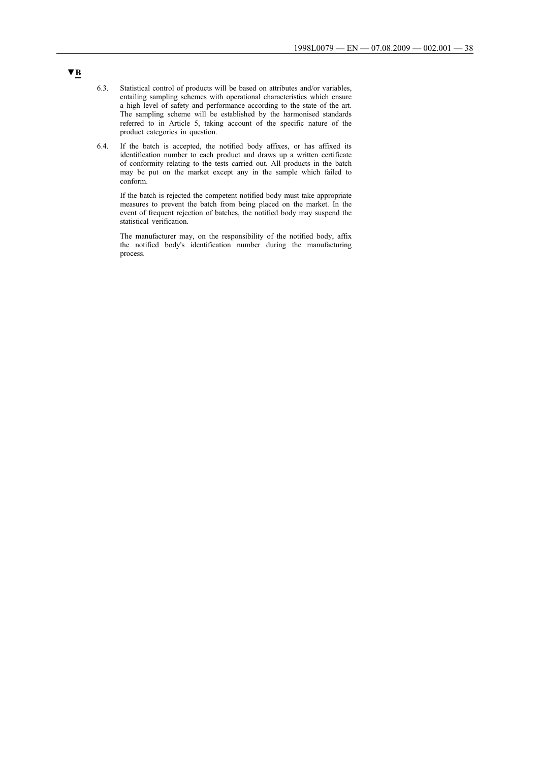- 6.3. Statistical control of products will be based on attributes and/or variables, entailing sampling schemes with operational characteristics which ensure a high level of safety and performance according to the state of the art. The sampling scheme will be established by the harmonised standards referred to in Article 5, taking account of the specific nature of the product categories in question.
- 6.4. If the batch is accepted, the notified body affixes, or has affixed its identification number to each product and draws up a written certificate of conformity relating to the tests carried out. All products in the batch may be put on the market except any in the sample which failed to conform.

If the batch is rejected the competent notified body must take appropriate measures to prevent the batch from being placed on the market. In the event of frequent rejection of batches, the notified body may suspend the statistical verification.

The manufacturer may, on the responsibility of the notified body, affix the notified body's identification number during the manufacturing process.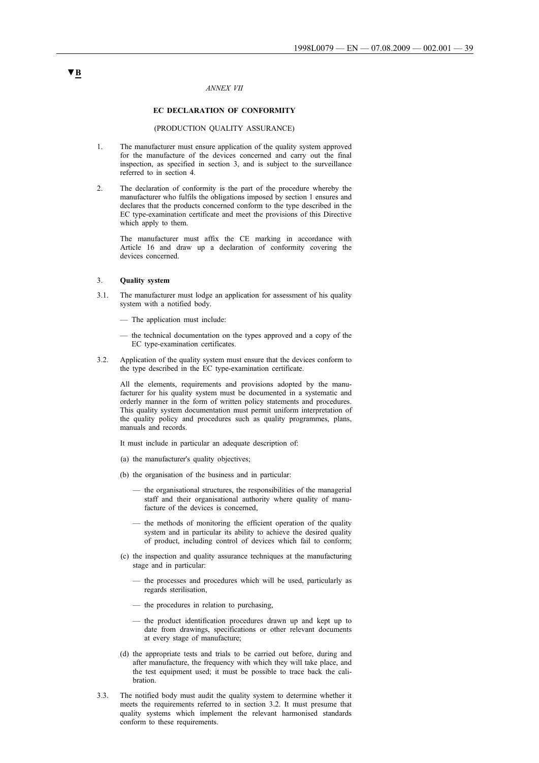#### *ANNEX VII*

#### **EC DECLARATION OF CONFORMITY**

#### (PRODUCTION QUALITY ASSURANCE)

- 1. The manufacturer must ensure application of the quality system approved for the manufacture of the devices concerned and carry out the final inspection, as specified in section 3, and is subject to the surveillance referred to in section 4.
- 2. The declaration of conformity is the part of the procedure whereby the manufacturer who fulfils the obligations imposed by section 1 ensures and declares that the products concerned conform to the type described in the EC type-examination certificate and meet the provisions of this Directive which apply to them.

The manufacturer must affix the CE marking in accordance with Article 16 and draw up a declaration of conformity covering the devices concerned.

#### 3. **Quality system**

- 3.1. The manufacturer must lodge an application for assessment of his quality system with a notified body.
	- The application must include:
	- the technical documentation on the types approved and a copy of the EC type-examination certificates.
- 3.2. Application of the quality system must ensure that the devices conform to the type described in the EC type-examination certificate.

All the elements, requirements and provisions adopted by the manufacturer for his quality system must be documented in a systematic and orderly manner in the form of written policy statements and procedures. This quality system documentation must permit uniform interpretation of the quality policy and procedures such as quality programmes, plans, manuals and records.

It must include in particular an adequate description of:

- (a) the manufacturer's quality objectives;
- (b) the organisation of the business and in particular:
	- the organisational structures, the responsibilities of the managerial staff and their organisational authority where quality of manufacture of the devices is concerned,
	- the methods of monitoring the efficient operation of the quality system and in particular its ability to achieve the desired quality of product, including control of devices which fail to conform;
- (c) the inspection and quality assurance techniques at the manufacturing stage and in particular:
	- the processes and procedures which will be used, particularly as regards sterilisation,
	- the procedures in relation to purchasing,
	- the product identification procedures drawn up and kept up to date from drawings, specifications or other relevant documents at every stage of manufacture;
- (d) the appropriate tests and trials to be carried out before, during and after manufacture, the frequency with which they will take place, and the test equipment used; it must be possible to trace back the calibration.
- 3.3. The notified body must audit the quality system to determine whether it meets the requirements referred to in section 3.2. It must presume that quality systems which implement the relevant harmonised standards conform to these requirements.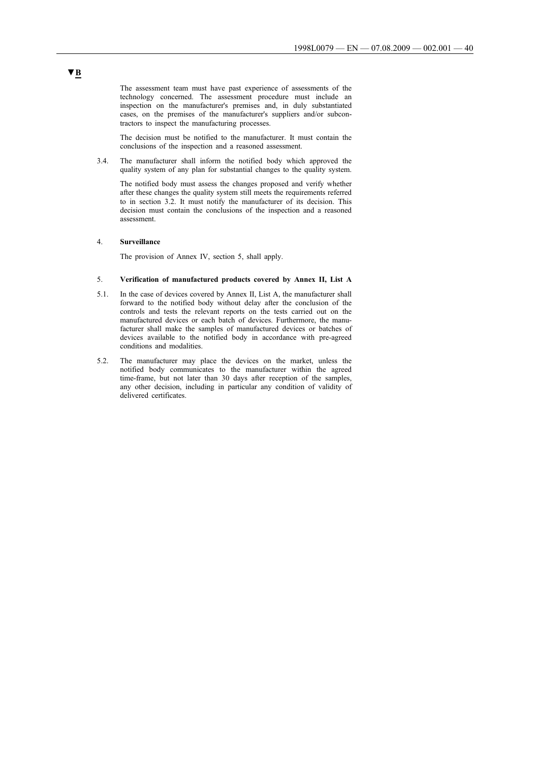The assessment team must have past experience of assessments of the technology concerned. The assessment procedure must include an inspection on the manufacturer's premises and, in duly substantiated cases, on the premises of the manufacturer's suppliers and/or subcontractors to inspect the manufacturing processes.

The decision must be notified to the manufacturer. It must contain the conclusions of the inspection and a reasoned assessment.

3.4. The manufacturer shall inform the notified body which approved the quality system of any plan for substantial changes to the quality system.

The notified body must assess the changes proposed and verify whether after these changes the quality system still meets the requirements referred to in section 3.2. It must notify the manufacturer of its decision. This decision must contain the conclusions of the inspection and a reasoned assessment.

### 4. **Surveillance**

The provision of Annex IV, section 5, shall apply.

### 5. **Verification of manufactured products covered by Annex II, List A**

- 5.1. In the case of devices covered by Annex II, List A, the manufacturer shall forward to the notified body without delay after the conclusion of the controls and tests the relevant reports on the tests carried out on the manufactured devices or each batch of devices. Furthermore, the manufacturer shall make the samples of manufactured devices or batches of devices available to the notified body in accordance with pre-agreed conditions and modalities.
- 5.2. The manufacturer may place the devices on the market, unless the notified body communicates to the manufacturer within the agreed time-frame, but not later than 30 days after reception of the samples, any other decision, including in particular any condition of validity of delivered certificates.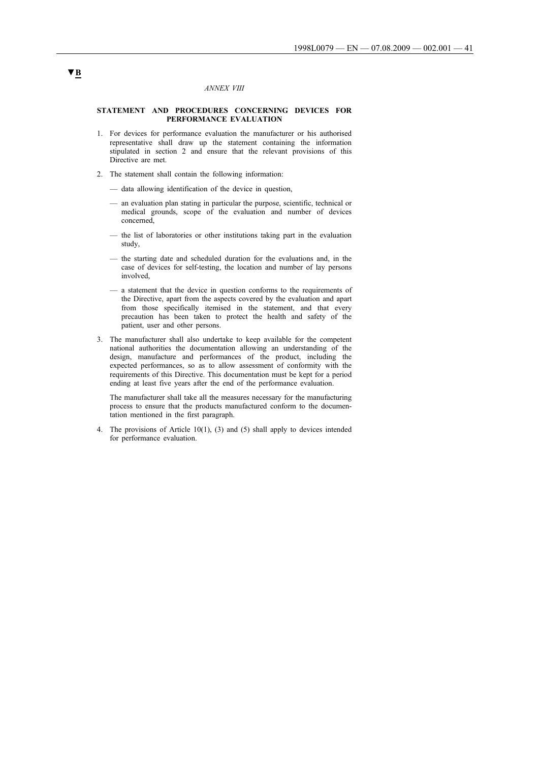#### *ANNEX VIII*

#### **STATEMENT AND PROCEDURES CONCERNING DEVICES FOR PERFORMANCE EVALUATION**

- 1. For devices for performance evaluation the manufacturer or his authorised representative shall draw up the statement containing the information stipulated in section 2 and ensure that the relevant provisions of this Directive are met.
- 2. The statement shall contain the following information:
	- data allowing identification of the device in question,
	- an evaluation plan stating in particular the purpose, scientific, technical or medical grounds, scope of the evaluation and number of devices concerned,
	- the list of laboratories or other institutions taking part in the evaluation study,
	- the starting date and scheduled duration for the evaluations and, in the case of devices for self-testing, the location and number of lay persons involved,
	- a statement that the device in question conforms to the requirements of the Directive, apart from the aspects covered by the evaluation and apart from those specifically itemised in the statement, and that every precaution has been taken to protect the health and safety of the patient, user and other persons.
- 3. The manufacturer shall also undertake to keep available for the competent national authorities the documentation allowing an understanding of the design, manufacture and performances of the product, including the expected performances, so as to allow assessment of conformity with the requirements of this Directive. This documentation must be kept for a period ending at least five years after the end of the performance evaluation.

The manufacturer shall take all the measures necessary for the manufacturing process to ensure that the products manufactured conform to the documentation mentioned in the first paragraph.

4. The provisions of Article 10(1), (3) and (5) shall apply to devices intended for performance evaluation.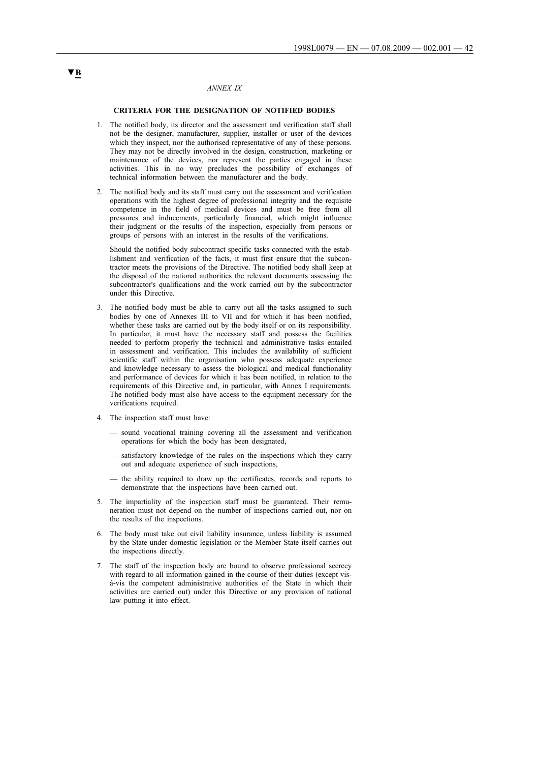#### *ANNEX IX*

### **CRITERIA FOR THE DESIGNATION OF NOTIFIED BODIES**

- 1. The notified body, its director and the assessment and verification staff shall not be the designer, manufacturer, supplier, installer or user of the devices which they inspect, nor the authorised representative of any of these persons. They may not be directly involved in the design, construction, marketing or maintenance of the devices, nor represent the parties engaged in these activities. This in no way precludes the possibility of exchanges of technical information between the manufacturer and the body.
- 2. The notified body and its staff must carry out the assessment and verification operations with the highest degree of professional integrity and the requisite competence in the field of medical devices and must be free from all pressures and inducements, particularly financial, which might influence their judgment or the results of the inspection, especially from persons or groups of persons with an interest in the results of the verifications.

Should the notified body subcontract specific tasks connected with the establishment and verification of the facts, it must first ensure that the subcontractor meets the provisions of the Directive. The notified body shall keep at the disposal of the national authorities the relevant documents assessing the subcontractor's qualifications and the work carried out by the subcontractor under this Directive.

- 3. The notified body must be able to carry out all the tasks assigned to such bodies by one of Annexes III to VII and for which it has been notified, whether these tasks are carried out by the body itself or on its responsibility. In particular, it must have the necessary staff and possess the facilities needed to perform properly the technical and administrative tasks entailed in assessment and verification. This includes the availability of sufficient scientific staff within the organisation who possess adequate experience and knowledge necessary to assess the biological and medical functionality and performance of devices for which it has been notified, in relation to the requirements of this Directive and, in particular, with Annex I requirements. The notified body must also have access to the equipment necessary for the verifications required.
- 4. The inspection staff must have:
	- sound vocational training covering all the assessment and verification operations for which the body has been designated,
	- satisfactory knowledge of the rules on the inspections which they carry out and adequate experience of such inspections,
	- the ability required to draw up the certificates, records and reports to demonstrate that the inspections have been carried out.
- 5. The impartiality of the inspection staff must be guaranteed. Their remuneration must not depend on the number of inspections carried out, nor on the results of the inspections.
- 6. The body must take out civil liability insurance, unless liability is assumed by the State under domestic legislation or the Member State itself carries out the inspections directly.
- 7. The staff of the inspection body are bound to observe professional secrecy with regard to all information gained in the course of their duties (except visà-vis the competent administrative authorities of the State in which their activities are carried out) under this Directive or any provision of national law putting it into effect.